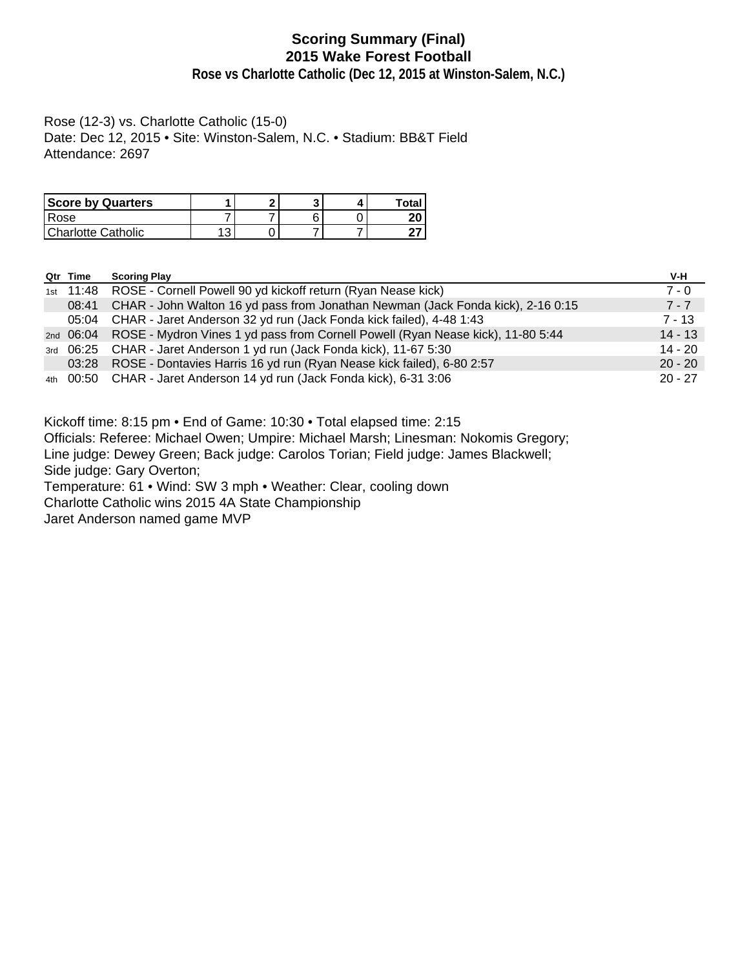# **Scoring Summary (Final) 2015 Wake Forest Football**

**Rose vs Charlotte Catholic (Dec 12, 2015 at Winston-Salem, N.C.)**

Rose (12-3) vs. Charlotte Catholic (15-0) Date: Dec 12, 2015 • Site: Winston-Salem, N.C. • Stadium: BB&T Field Attendance: 2697

| <b>Score by Quarters</b> | ິ |  | Total |
|--------------------------|---|--|-------|
| Rose                     |   |  | 20    |
| Charlotte Catholic       |   |  |       |

| Qtr Time | <b>Scoring Play</b>                                                                       | V-H       |
|----------|-------------------------------------------------------------------------------------------|-----------|
|          | 1st 11:48 ROSE - Cornell Powell 90 yd kickoff return (Ryan Nease kick)                    | $7 - 0$   |
| 08:41    | CHAR - John Walton 16 yd pass from Jonathan Newman (Jack Fonda kick), 2-16 0:15           | $7 - 7$   |
|          | 05:04 CHAR - Jaret Anderson 32 yd run (Jack Fonda kick failed), 4-48 1:43                 | $7 - 13$  |
|          | 2nd 06:04 ROSE - Mydron Vines 1 yd pass from Cornell Powell (Ryan Nease kick), 11-80 5:44 | $14 - 13$ |
|          | 3rd 06:25 CHAR - Jaret Anderson 1 yd run (Jack Fonda kick), 11-67 5:30                    | $14 - 20$ |
|          | 03:28 ROSE - Dontavies Harris 16 yd run (Ryan Nease kick failed), 6-80 2:57               | $20 - 20$ |
|          | 4th 00:50 CHAR - Jaret Anderson 14 yd run (Jack Fonda kick), 6-31 3:06                    | $20 - 27$ |

Kickoff time: 8:15 pm • End of Game: 10:30 • Total elapsed time: 2:15

Officials: Referee: Michael Owen; Umpire: Michael Marsh; Linesman: Nokomis Gregory;

Line judge: Dewey Green; Back judge: Carolos Torian; Field judge: James Blackwell;

Side judge: Gary Overton;

Temperature: 61 • Wind: SW 3 mph • Weather: Clear, cooling down

Charlotte Catholic wins 2015 4A State Championship

Jaret Anderson named game MVP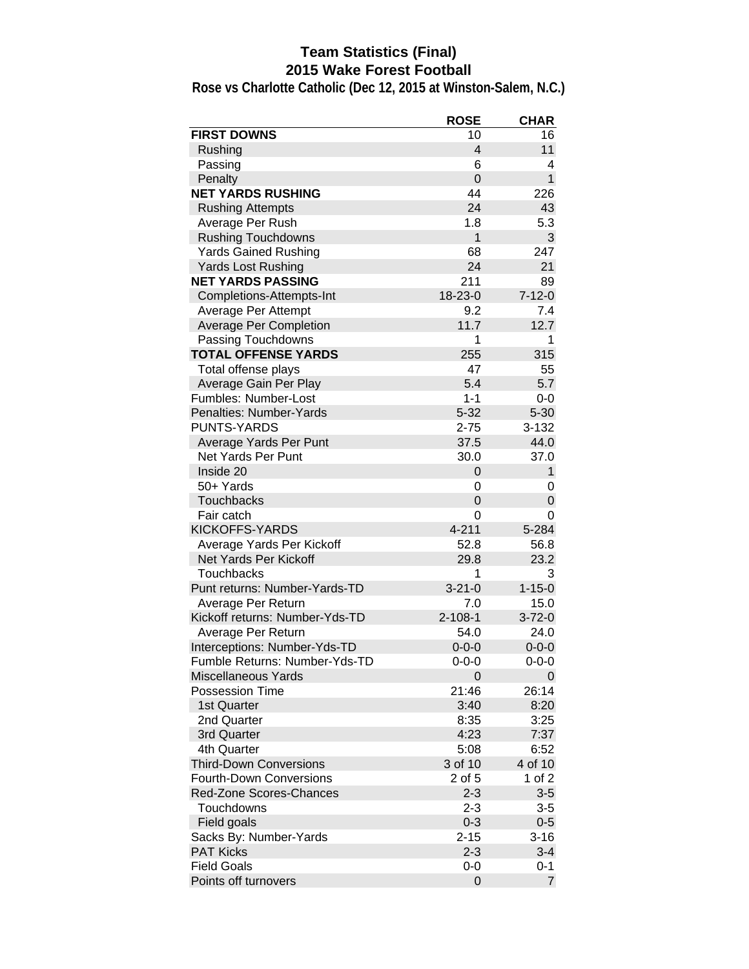# **Team Statistics (Final) 2015 Wake Forest Football**

| <b>FIRST DOWNS</b><br>10<br>16<br>$\overline{4}$<br>Rushing<br>11<br>Passing<br>6<br>4<br>$\overline{0}$<br>$\mathbf{1}$<br>Penalty<br><b>NET YARDS RUSHING</b><br>44<br>226<br>24<br><b>Rushing Attempts</b><br>43<br>5.3<br>Average Per Rush<br>1.8<br>$\mathbf{1}$<br>3<br><b>Rushing Touchdowns</b><br>68<br><b>Yards Gained Rushing</b><br>247<br>24<br><b>Yards Lost Rushing</b><br>21<br><b>NET YARDS PASSING</b><br>211<br>89<br>18-23-0<br>$7 - 12 - 0$<br>Completions-Attempts-Int<br>7.4<br>Average Per Attempt<br>9.2<br>11.7<br>12.7<br><b>Average Per Completion</b><br>Passing Touchdowns<br>1<br>1<br><b>TOTAL OFFENSE YARDS</b><br>255<br>315<br>47<br>Total offense plays<br>55<br>5.4<br>5.7<br>Average Gain Per Play<br>Fumbles: Number-Lost<br>$1 - 1$<br>$0-0$<br>$5 - 32$<br>Penalties: Number-Yards<br>$5 - 30$<br><b>PUNTS-YARDS</b><br>$2 - 75$<br>3-132<br>Average Yards Per Punt<br>37.5<br>44.0<br><b>Net Yards Per Punt</b><br>30.0<br>37.0<br>Inside 20<br>$\mathbf{1}$<br>0<br>50+ Yards<br>0<br>0<br><b>Touchbacks</b><br>$\Omega$<br>0<br>Fair catch<br>0<br>0<br><b>KICKOFFS-YARDS</b><br>$4 - 211$<br>5-284<br>Average Yards Per Kickoff<br>52.8<br>56.8<br><b>Net Yards Per Kickoff</b><br>29.8<br>23.2<br>3<br><b>Touchbacks</b><br>1<br>$3 - 21 - 0$<br>$1 - 15 - 0$<br>Punt returns: Number-Yards-TD<br>Average Per Return<br>7.0<br>15.0<br>$2 - 108 - 1$<br>$3 - 72 - 0$<br>Kickoff returns: Number-Yds-TD<br>54.0<br>24.0<br>Average Per Return<br>$0 - 0 - 0$<br>Interceptions: Number-Yds-TD<br>$0 - 0 - 0$<br>Fumble Returns: Number-Yds-TD<br>$0 - 0 - 0$<br>$0 - 0 - 0$<br>Miscellaneous Yards<br>0<br>0<br><b>Possession Time</b><br>21:46<br>26:14<br>1st Quarter<br>3:40<br>8:20<br>2nd Quarter<br>3:25<br>8:35<br>3rd Quarter<br>4:23<br>7:37<br>4th Quarter<br>5:08<br>6:52<br>4 of 10<br>3 of 10<br><b>Third-Down Conversions</b><br><b>Fourth-Down Conversions</b><br>2 of 5<br>1 of 2<br>$2 - 3$<br>$3-5$<br>Red-Zone Scores-Chances<br>Touchdowns<br>$2 - 3$<br>$3-5$<br>Field goals<br>$0 - 3$<br>$0 - 5$<br>Sacks By: Number-Yards<br>$2 - 15$<br>$3 - 16$<br><b>PAT Kicks</b><br>$2 - 3$<br>$3 - 4$<br><b>Field Goals</b><br>0-0<br>$0 - 1$ |                      | <b>ROSE</b> | <b>CHAR</b> |
|---------------------------------------------------------------------------------------------------------------------------------------------------------------------------------------------------------------------------------------------------------------------------------------------------------------------------------------------------------------------------------------------------------------------------------------------------------------------------------------------------------------------------------------------------------------------------------------------------------------------------------------------------------------------------------------------------------------------------------------------------------------------------------------------------------------------------------------------------------------------------------------------------------------------------------------------------------------------------------------------------------------------------------------------------------------------------------------------------------------------------------------------------------------------------------------------------------------------------------------------------------------------------------------------------------------------------------------------------------------------------------------------------------------------------------------------------------------------------------------------------------------------------------------------------------------------------------------------------------------------------------------------------------------------------------------------------------------------------------------------------------------------------------------------------------------------------------------------------------------------------------------------------------------------------------------------------------------------------------------------------------------------------------------------------------------------------------------------------------------------------------------------------------------------------------------------------------|----------------------|-------------|-------------|
|                                                                                                                                                                                                                                                                                                                                                                                                                                                                                                                                                                                                                                                                                                                                                                                                                                                                                                                                                                                                                                                                                                                                                                                                                                                                                                                                                                                                                                                                                                                                                                                                                                                                                                                                                                                                                                                                                                                                                                                                                                                                                                                                                                                                         |                      |             |             |
|                                                                                                                                                                                                                                                                                                                                                                                                                                                                                                                                                                                                                                                                                                                                                                                                                                                                                                                                                                                                                                                                                                                                                                                                                                                                                                                                                                                                                                                                                                                                                                                                                                                                                                                                                                                                                                                                                                                                                                                                                                                                                                                                                                                                         |                      |             |             |
|                                                                                                                                                                                                                                                                                                                                                                                                                                                                                                                                                                                                                                                                                                                                                                                                                                                                                                                                                                                                                                                                                                                                                                                                                                                                                                                                                                                                                                                                                                                                                                                                                                                                                                                                                                                                                                                                                                                                                                                                                                                                                                                                                                                                         |                      |             |             |
|                                                                                                                                                                                                                                                                                                                                                                                                                                                                                                                                                                                                                                                                                                                                                                                                                                                                                                                                                                                                                                                                                                                                                                                                                                                                                                                                                                                                                                                                                                                                                                                                                                                                                                                                                                                                                                                                                                                                                                                                                                                                                                                                                                                                         |                      |             |             |
|                                                                                                                                                                                                                                                                                                                                                                                                                                                                                                                                                                                                                                                                                                                                                                                                                                                                                                                                                                                                                                                                                                                                                                                                                                                                                                                                                                                                                                                                                                                                                                                                                                                                                                                                                                                                                                                                                                                                                                                                                                                                                                                                                                                                         |                      |             |             |
|                                                                                                                                                                                                                                                                                                                                                                                                                                                                                                                                                                                                                                                                                                                                                                                                                                                                                                                                                                                                                                                                                                                                                                                                                                                                                                                                                                                                                                                                                                                                                                                                                                                                                                                                                                                                                                                                                                                                                                                                                                                                                                                                                                                                         |                      |             |             |
|                                                                                                                                                                                                                                                                                                                                                                                                                                                                                                                                                                                                                                                                                                                                                                                                                                                                                                                                                                                                                                                                                                                                                                                                                                                                                                                                                                                                                                                                                                                                                                                                                                                                                                                                                                                                                                                                                                                                                                                                                                                                                                                                                                                                         |                      |             |             |
|                                                                                                                                                                                                                                                                                                                                                                                                                                                                                                                                                                                                                                                                                                                                                                                                                                                                                                                                                                                                                                                                                                                                                                                                                                                                                                                                                                                                                                                                                                                                                                                                                                                                                                                                                                                                                                                                                                                                                                                                                                                                                                                                                                                                         |                      |             |             |
|                                                                                                                                                                                                                                                                                                                                                                                                                                                                                                                                                                                                                                                                                                                                                                                                                                                                                                                                                                                                                                                                                                                                                                                                                                                                                                                                                                                                                                                                                                                                                                                                                                                                                                                                                                                                                                                                                                                                                                                                                                                                                                                                                                                                         |                      |             |             |
|                                                                                                                                                                                                                                                                                                                                                                                                                                                                                                                                                                                                                                                                                                                                                                                                                                                                                                                                                                                                                                                                                                                                                                                                                                                                                                                                                                                                                                                                                                                                                                                                                                                                                                                                                                                                                                                                                                                                                                                                                                                                                                                                                                                                         |                      |             |             |
|                                                                                                                                                                                                                                                                                                                                                                                                                                                                                                                                                                                                                                                                                                                                                                                                                                                                                                                                                                                                                                                                                                                                                                                                                                                                                                                                                                                                                                                                                                                                                                                                                                                                                                                                                                                                                                                                                                                                                                                                                                                                                                                                                                                                         |                      |             |             |
|                                                                                                                                                                                                                                                                                                                                                                                                                                                                                                                                                                                                                                                                                                                                                                                                                                                                                                                                                                                                                                                                                                                                                                                                                                                                                                                                                                                                                                                                                                                                                                                                                                                                                                                                                                                                                                                                                                                                                                                                                                                                                                                                                                                                         |                      |             |             |
|                                                                                                                                                                                                                                                                                                                                                                                                                                                                                                                                                                                                                                                                                                                                                                                                                                                                                                                                                                                                                                                                                                                                                                                                                                                                                                                                                                                                                                                                                                                                                                                                                                                                                                                                                                                                                                                                                                                                                                                                                                                                                                                                                                                                         |                      |             |             |
|                                                                                                                                                                                                                                                                                                                                                                                                                                                                                                                                                                                                                                                                                                                                                                                                                                                                                                                                                                                                                                                                                                                                                                                                                                                                                                                                                                                                                                                                                                                                                                                                                                                                                                                                                                                                                                                                                                                                                                                                                                                                                                                                                                                                         |                      |             |             |
|                                                                                                                                                                                                                                                                                                                                                                                                                                                                                                                                                                                                                                                                                                                                                                                                                                                                                                                                                                                                                                                                                                                                                                                                                                                                                                                                                                                                                                                                                                                                                                                                                                                                                                                                                                                                                                                                                                                                                                                                                                                                                                                                                                                                         |                      |             |             |
|                                                                                                                                                                                                                                                                                                                                                                                                                                                                                                                                                                                                                                                                                                                                                                                                                                                                                                                                                                                                                                                                                                                                                                                                                                                                                                                                                                                                                                                                                                                                                                                                                                                                                                                                                                                                                                                                                                                                                                                                                                                                                                                                                                                                         |                      |             |             |
|                                                                                                                                                                                                                                                                                                                                                                                                                                                                                                                                                                                                                                                                                                                                                                                                                                                                                                                                                                                                                                                                                                                                                                                                                                                                                                                                                                                                                                                                                                                                                                                                                                                                                                                                                                                                                                                                                                                                                                                                                                                                                                                                                                                                         |                      |             |             |
|                                                                                                                                                                                                                                                                                                                                                                                                                                                                                                                                                                                                                                                                                                                                                                                                                                                                                                                                                                                                                                                                                                                                                                                                                                                                                                                                                                                                                                                                                                                                                                                                                                                                                                                                                                                                                                                                                                                                                                                                                                                                                                                                                                                                         |                      |             |             |
|                                                                                                                                                                                                                                                                                                                                                                                                                                                                                                                                                                                                                                                                                                                                                                                                                                                                                                                                                                                                                                                                                                                                                                                                                                                                                                                                                                                                                                                                                                                                                                                                                                                                                                                                                                                                                                                                                                                                                                                                                                                                                                                                                                                                         |                      |             |             |
|                                                                                                                                                                                                                                                                                                                                                                                                                                                                                                                                                                                                                                                                                                                                                                                                                                                                                                                                                                                                                                                                                                                                                                                                                                                                                                                                                                                                                                                                                                                                                                                                                                                                                                                                                                                                                                                                                                                                                                                                                                                                                                                                                                                                         |                      |             |             |
|                                                                                                                                                                                                                                                                                                                                                                                                                                                                                                                                                                                                                                                                                                                                                                                                                                                                                                                                                                                                                                                                                                                                                                                                                                                                                                                                                                                                                                                                                                                                                                                                                                                                                                                                                                                                                                                                                                                                                                                                                                                                                                                                                                                                         |                      |             |             |
|                                                                                                                                                                                                                                                                                                                                                                                                                                                                                                                                                                                                                                                                                                                                                                                                                                                                                                                                                                                                                                                                                                                                                                                                                                                                                                                                                                                                                                                                                                                                                                                                                                                                                                                                                                                                                                                                                                                                                                                                                                                                                                                                                                                                         |                      |             |             |
|                                                                                                                                                                                                                                                                                                                                                                                                                                                                                                                                                                                                                                                                                                                                                                                                                                                                                                                                                                                                                                                                                                                                                                                                                                                                                                                                                                                                                                                                                                                                                                                                                                                                                                                                                                                                                                                                                                                                                                                                                                                                                                                                                                                                         |                      |             |             |
|                                                                                                                                                                                                                                                                                                                                                                                                                                                                                                                                                                                                                                                                                                                                                                                                                                                                                                                                                                                                                                                                                                                                                                                                                                                                                                                                                                                                                                                                                                                                                                                                                                                                                                                                                                                                                                                                                                                                                                                                                                                                                                                                                                                                         |                      |             |             |
|                                                                                                                                                                                                                                                                                                                                                                                                                                                                                                                                                                                                                                                                                                                                                                                                                                                                                                                                                                                                                                                                                                                                                                                                                                                                                                                                                                                                                                                                                                                                                                                                                                                                                                                                                                                                                                                                                                                                                                                                                                                                                                                                                                                                         |                      |             |             |
|                                                                                                                                                                                                                                                                                                                                                                                                                                                                                                                                                                                                                                                                                                                                                                                                                                                                                                                                                                                                                                                                                                                                                                                                                                                                                                                                                                                                                                                                                                                                                                                                                                                                                                                                                                                                                                                                                                                                                                                                                                                                                                                                                                                                         |                      |             |             |
|                                                                                                                                                                                                                                                                                                                                                                                                                                                                                                                                                                                                                                                                                                                                                                                                                                                                                                                                                                                                                                                                                                                                                                                                                                                                                                                                                                                                                                                                                                                                                                                                                                                                                                                                                                                                                                                                                                                                                                                                                                                                                                                                                                                                         |                      |             |             |
|                                                                                                                                                                                                                                                                                                                                                                                                                                                                                                                                                                                                                                                                                                                                                                                                                                                                                                                                                                                                                                                                                                                                                                                                                                                                                                                                                                                                                                                                                                                                                                                                                                                                                                                                                                                                                                                                                                                                                                                                                                                                                                                                                                                                         |                      |             |             |
|                                                                                                                                                                                                                                                                                                                                                                                                                                                                                                                                                                                                                                                                                                                                                                                                                                                                                                                                                                                                                                                                                                                                                                                                                                                                                                                                                                                                                                                                                                                                                                                                                                                                                                                                                                                                                                                                                                                                                                                                                                                                                                                                                                                                         |                      |             |             |
|                                                                                                                                                                                                                                                                                                                                                                                                                                                                                                                                                                                                                                                                                                                                                                                                                                                                                                                                                                                                                                                                                                                                                                                                                                                                                                                                                                                                                                                                                                                                                                                                                                                                                                                                                                                                                                                                                                                                                                                                                                                                                                                                                                                                         |                      |             |             |
|                                                                                                                                                                                                                                                                                                                                                                                                                                                                                                                                                                                                                                                                                                                                                                                                                                                                                                                                                                                                                                                                                                                                                                                                                                                                                                                                                                                                                                                                                                                                                                                                                                                                                                                                                                                                                                                                                                                                                                                                                                                                                                                                                                                                         |                      |             |             |
|                                                                                                                                                                                                                                                                                                                                                                                                                                                                                                                                                                                                                                                                                                                                                                                                                                                                                                                                                                                                                                                                                                                                                                                                                                                                                                                                                                                                                                                                                                                                                                                                                                                                                                                                                                                                                                                                                                                                                                                                                                                                                                                                                                                                         |                      |             |             |
|                                                                                                                                                                                                                                                                                                                                                                                                                                                                                                                                                                                                                                                                                                                                                                                                                                                                                                                                                                                                                                                                                                                                                                                                                                                                                                                                                                                                                                                                                                                                                                                                                                                                                                                                                                                                                                                                                                                                                                                                                                                                                                                                                                                                         |                      |             |             |
|                                                                                                                                                                                                                                                                                                                                                                                                                                                                                                                                                                                                                                                                                                                                                                                                                                                                                                                                                                                                                                                                                                                                                                                                                                                                                                                                                                                                                                                                                                                                                                                                                                                                                                                                                                                                                                                                                                                                                                                                                                                                                                                                                                                                         |                      |             |             |
|                                                                                                                                                                                                                                                                                                                                                                                                                                                                                                                                                                                                                                                                                                                                                                                                                                                                                                                                                                                                                                                                                                                                                                                                                                                                                                                                                                                                                                                                                                                                                                                                                                                                                                                                                                                                                                                                                                                                                                                                                                                                                                                                                                                                         |                      |             |             |
|                                                                                                                                                                                                                                                                                                                                                                                                                                                                                                                                                                                                                                                                                                                                                                                                                                                                                                                                                                                                                                                                                                                                                                                                                                                                                                                                                                                                                                                                                                                                                                                                                                                                                                                                                                                                                                                                                                                                                                                                                                                                                                                                                                                                         |                      |             |             |
|                                                                                                                                                                                                                                                                                                                                                                                                                                                                                                                                                                                                                                                                                                                                                                                                                                                                                                                                                                                                                                                                                                                                                                                                                                                                                                                                                                                                                                                                                                                                                                                                                                                                                                                                                                                                                                                                                                                                                                                                                                                                                                                                                                                                         |                      |             |             |
|                                                                                                                                                                                                                                                                                                                                                                                                                                                                                                                                                                                                                                                                                                                                                                                                                                                                                                                                                                                                                                                                                                                                                                                                                                                                                                                                                                                                                                                                                                                                                                                                                                                                                                                                                                                                                                                                                                                                                                                                                                                                                                                                                                                                         |                      |             |             |
|                                                                                                                                                                                                                                                                                                                                                                                                                                                                                                                                                                                                                                                                                                                                                                                                                                                                                                                                                                                                                                                                                                                                                                                                                                                                                                                                                                                                                                                                                                                                                                                                                                                                                                                                                                                                                                                                                                                                                                                                                                                                                                                                                                                                         |                      |             |             |
|                                                                                                                                                                                                                                                                                                                                                                                                                                                                                                                                                                                                                                                                                                                                                                                                                                                                                                                                                                                                                                                                                                                                                                                                                                                                                                                                                                                                                                                                                                                                                                                                                                                                                                                                                                                                                                                                                                                                                                                                                                                                                                                                                                                                         |                      |             |             |
|                                                                                                                                                                                                                                                                                                                                                                                                                                                                                                                                                                                                                                                                                                                                                                                                                                                                                                                                                                                                                                                                                                                                                                                                                                                                                                                                                                                                                                                                                                                                                                                                                                                                                                                                                                                                                                                                                                                                                                                                                                                                                                                                                                                                         |                      |             |             |
|                                                                                                                                                                                                                                                                                                                                                                                                                                                                                                                                                                                                                                                                                                                                                                                                                                                                                                                                                                                                                                                                                                                                                                                                                                                                                                                                                                                                                                                                                                                                                                                                                                                                                                                                                                                                                                                                                                                                                                                                                                                                                                                                                                                                         |                      |             |             |
|                                                                                                                                                                                                                                                                                                                                                                                                                                                                                                                                                                                                                                                                                                                                                                                                                                                                                                                                                                                                                                                                                                                                                                                                                                                                                                                                                                                                                                                                                                                                                                                                                                                                                                                                                                                                                                                                                                                                                                                                                                                                                                                                                                                                         |                      |             |             |
|                                                                                                                                                                                                                                                                                                                                                                                                                                                                                                                                                                                                                                                                                                                                                                                                                                                                                                                                                                                                                                                                                                                                                                                                                                                                                                                                                                                                                                                                                                                                                                                                                                                                                                                                                                                                                                                                                                                                                                                                                                                                                                                                                                                                         |                      |             |             |
|                                                                                                                                                                                                                                                                                                                                                                                                                                                                                                                                                                                                                                                                                                                                                                                                                                                                                                                                                                                                                                                                                                                                                                                                                                                                                                                                                                                                                                                                                                                                                                                                                                                                                                                                                                                                                                                                                                                                                                                                                                                                                                                                                                                                         |                      |             |             |
|                                                                                                                                                                                                                                                                                                                                                                                                                                                                                                                                                                                                                                                                                                                                                                                                                                                                                                                                                                                                                                                                                                                                                                                                                                                                                                                                                                                                                                                                                                                                                                                                                                                                                                                                                                                                                                                                                                                                                                                                                                                                                                                                                                                                         |                      |             |             |
|                                                                                                                                                                                                                                                                                                                                                                                                                                                                                                                                                                                                                                                                                                                                                                                                                                                                                                                                                                                                                                                                                                                                                                                                                                                                                                                                                                                                                                                                                                                                                                                                                                                                                                                                                                                                                                                                                                                                                                                                                                                                                                                                                                                                         |                      |             |             |
|                                                                                                                                                                                                                                                                                                                                                                                                                                                                                                                                                                                                                                                                                                                                                                                                                                                                                                                                                                                                                                                                                                                                                                                                                                                                                                                                                                                                                                                                                                                                                                                                                                                                                                                                                                                                                                                                                                                                                                                                                                                                                                                                                                                                         |                      |             |             |
|                                                                                                                                                                                                                                                                                                                                                                                                                                                                                                                                                                                                                                                                                                                                                                                                                                                                                                                                                                                                                                                                                                                                                                                                                                                                                                                                                                                                                                                                                                                                                                                                                                                                                                                                                                                                                                                                                                                                                                                                                                                                                                                                                                                                         |                      |             |             |
|                                                                                                                                                                                                                                                                                                                                                                                                                                                                                                                                                                                                                                                                                                                                                                                                                                                                                                                                                                                                                                                                                                                                                                                                                                                                                                                                                                                                                                                                                                                                                                                                                                                                                                                                                                                                                                                                                                                                                                                                                                                                                                                                                                                                         |                      |             |             |
|                                                                                                                                                                                                                                                                                                                                                                                                                                                                                                                                                                                                                                                                                                                                                                                                                                                                                                                                                                                                                                                                                                                                                                                                                                                                                                                                                                                                                                                                                                                                                                                                                                                                                                                                                                                                                                                                                                                                                                                                                                                                                                                                                                                                         |                      |             |             |
|                                                                                                                                                                                                                                                                                                                                                                                                                                                                                                                                                                                                                                                                                                                                                                                                                                                                                                                                                                                                                                                                                                                                                                                                                                                                                                                                                                                                                                                                                                                                                                                                                                                                                                                                                                                                                                                                                                                                                                                                                                                                                                                                                                                                         | Points off turnovers | 0           | 7           |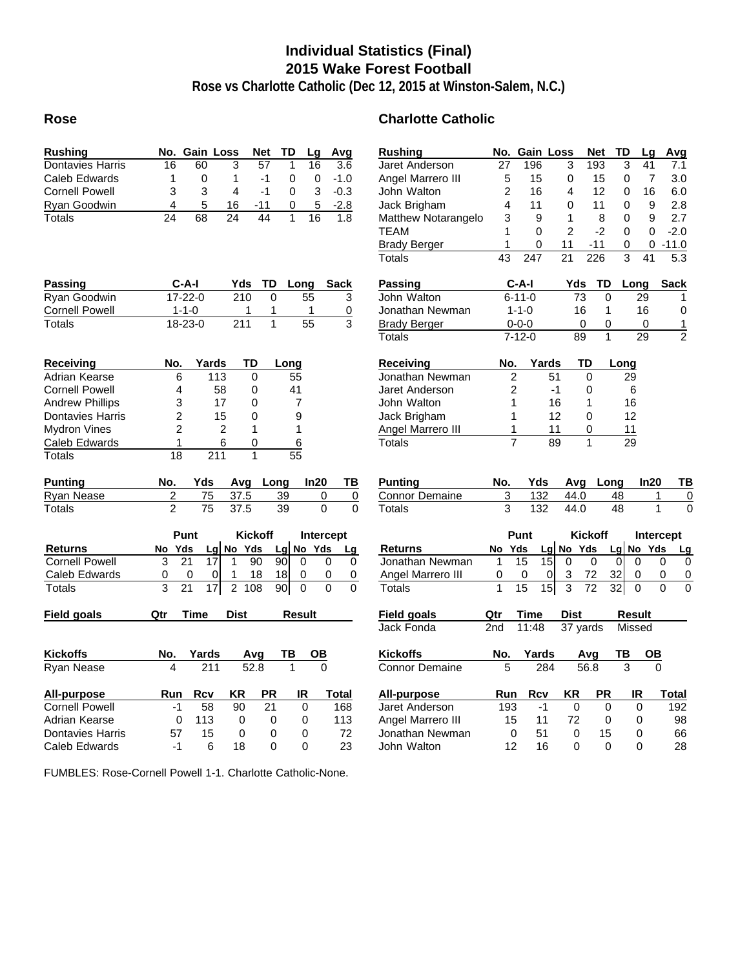# **Individual Statistics (Final) 2015 Wake Forest Football**

**Rose vs Charlotte Catholic (Dec 12, 2015 at Winston-Salem, N.C.)**

#### **Rose Charlotte Catholic**

| <b>Rushing</b>             | No.                     | <b>Gain Loss</b>                   |                       | Net             | TD              | Lg              | Avg              | <b>Rushing</b>               | No.             | Gain Loss             |                 | <b>Net</b>       | TD                    | L)              |
|----------------------------|-------------------------|------------------------------------|-----------------------|-----------------|-----------------|-----------------|------------------|------------------------------|-----------------|-----------------------|-----------------|------------------|-----------------------|-----------------|
| <b>Dontavies Harris</b>    | 16                      | 60                                 | 3                     | $\overline{57}$ | 1               | 16              | $\overline{3.6}$ | Jaret Anderson               | 27              | 196                   | 3               | 193              | 3                     | 4               |
| <b>Caleb Edwards</b>       | 1                       | 0                                  | 1                     | $-1$            | 0               | $\mathbf 0$     | $-1.0$           | Angel Marrero III            | 5               | 15                    | 0               | 15               | 0                     |                 |
| <b>Cornell Powell</b>      | 3                       | 3                                  | 4                     | $-1$            | $\Omega$        | 3               | $-0.3$           | John Walton                  | $\overline{2}$  | 16                    | 4               | 12               | 0                     | 1 <sub>1</sub>  |
| Ryan Goodwin               | 4                       | 5                                  | 16                    | -11             | 0               | 5               | $-2.8$           | Jack Brigham                 | 4               | 11                    | 0               | 11               | $\mathbf 0$           |                 |
| <b>Totals</b>              | 24                      | 68                                 | 24                    | 44              | $\mathbf{1}$    | 16              | 1.8              | Matthew Notarangelo          | 3               | 9                     | 1               | 8                | 0                     |                 |
|                            |                         |                                    |                       |                 |                 |                 |                  | <b>TEAM</b>                  | 1               | $\Omega$              | $\mathfrak{p}$  | $-2$             | $\mathbf{0}$          |                 |
|                            |                         |                                    |                       |                 |                 |                 |                  | <b>Brady Berger</b>          | 1               | 0                     | 11              | $-11$            | $\pmb{0}$             |                 |
|                            |                         |                                    |                       |                 |                 |                 |                  | <b>Totals</b>                | $\overline{43}$ | 247                   | $\overline{21}$ | $\overline{226}$ | 3                     | $\overline{4}$  |
| Passing                    |                         | C-A-I                              | Yds                   | TD              | Long            |                 | Sack             | Passing                      |                 | $C-A-I$               | Yds             | TD               |                       | Long            |
| Ryan Goodwin               |                         | $17 - 22 - 0$                      | 210                   | 0               |                 | 55              | 3                | John Walton                  |                 | $6 - 11 - 0$          | 73              | 0                |                       | 29              |
| <b>Cornell Powell</b>      |                         | $1 - 1 - 0$                        | 1                     | 1               |                 | 1               | 0                | Jonathan Newman              |                 | $1 - 1 - 0$           | 16              | 1                |                       | 16              |
| Totals                     |                         | $18 - 23 - 0$                      | $\overline{211}$      | $\mathbf{1}$    |                 | $\overline{55}$ | 3                | <b>Brady Berger</b>          |                 | $0 - 0 - 0$           | 0               | 0                |                       | 0               |
|                            |                         |                                    |                       |                 |                 |                 |                  | Totals                       |                 | $7 - 12 - 0$          | 89              | 1                |                       | $\overline{29}$ |
|                            |                         |                                    | <b>TD</b>             |                 |                 |                 |                  |                              |                 |                       |                 | TD               |                       |                 |
| Receiving<br>Adrian Kearse | No.<br>6                | Yards                              | 113                   | 0               | Long<br>55      |                 |                  | Receiving<br>Jonathan Newman | No.             | Yards                 | 51              | $\mathbf 0$      | Long<br>29            |                 |
|                            |                         |                                    |                       |                 |                 |                 |                  |                              |                 | $\overline{c}$        |                 |                  |                       |                 |
| <b>Cornell Powell</b>      | 4                       |                                    | 58                    | 0               | 41              |                 |                  | Jaret Anderson               |                 | 2                     | -1              | 0                | 6                     |                 |
| <b>Andrew Phillips</b>     | 3                       |                                    | 17                    | 0               | $\overline{7}$  |                 |                  | John Walton                  |                 | 1                     | 16              | 1                | 16                    |                 |
| <b>Dontavies Harris</b>    | $\overline{c}$          |                                    | 15                    | 0               | 9               |                 |                  | Jack Brigham                 |                 | 1                     | 12              | 0                | 12                    |                 |
| <b>Mydron Vines</b>        | $\overline{2}$          |                                    | $\overline{2}$        | 1               | 1               |                 |                  | Angel Marrero III            |                 | 1                     | 11              | 0                | 11                    |                 |
| Caleb Edwards              | 1                       |                                    | 6                     | 0               | 6               |                 |                  | <b>Totals</b>                |                 | $\overline{7}$        | 89              | 1                | 29                    |                 |
| <b>Totals</b>              | $\overline{18}$         |                                    | $\overline{211}$      | $\mathbf{1}$    | $\overline{55}$ |                 |                  |                              |                 |                       |                 |                  |                       |                 |
| <b>Punting</b>             | No.                     | Yds                                | Avg                   | Long            |                 | In20            | ΤВ               | <b>Punting</b>               | No.             | Yds                   | Avg             |                  | Long                  | In:             |
| <b>Ryan Nease</b>          | $\overline{c}$          | 75                                 | 37.5                  |                 | 39              | 0               | $\overline{0}$   | <b>Connor Demaine</b>        | 3               | 132                   | 44.0            |                  | 48                    |                 |
| Totals                     | $\overline{2}$          | $\overline{75}$                    | 37.5                  |                 | 39              | $\Omega$        | $\Omega$         | Totals                       | 3               | 132                   | 44.0            |                  | 48                    |                 |
|                            |                         | Punt                               |                       | <b>Kickoff</b>  |                 |                 | Intercept        |                              |                 | Punt                  |                 | <b>Kickoff</b>   |                       | Int             |
| Returns                    | No Yds                  |                                    | Lg No Yds             |                 | Lg              | No Yds          | Lg               | <b>Returns</b>               | No Yds          |                       | $Lg$ No Yds     |                  | $\lfloor \lg \rfloor$ | <b>No</b>       |
| <b>Cornell Powell</b>      | 3                       | 21<br>17                           | 1                     | 90              | 90              | $\Omega$        | 0<br>$\Omega$    | Jonathan Newman              | 1               | 15<br>15              | $\Omega$        | $\Omega$         | $\Omega$              | $\Omega$        |
| Caleb Edwards              | 0                       | 0                                  | 0<br>1                | 18              | 18              | 0               | 0<br>0           | Angel Marrero III            | 0               | 0<br>0                | 3               | 72               | 32                    | 0               |
| Totals                     | $\overline{\mathbf{3}}$ | $\overline{17}$<br>$\overline{21}$ | $\overline{2}$<br>108 |                 | 90              | $\overline{0}$  | $\Omega$<br>0    | Totals                       | 1               | $\overline{15}$<br>15 | $\overline{3}$  | $\overline{72}$  | $\overline{32}$       | $\Omega$        |
| <b>Field goals</b>         | Qtr                     | Time                               | <b>Dist</b>           |                 | Result          |                 |                  | <b>Field goals</b>           | Qtr             | Time                  | <b>Dist</b>     |                  |                       | Result          |
|                            |                         |                                    |                       |                 |                 |                 |                  | Jack Fonda                   | 2nd             | 11:48                 | 37 yards        |                  | Missec                |                 |
| Kickoffs                   | No.                     | Yards                              |                       | Avg             | TB              | <b>OB</b>       |                  | <b>Kickoffs</b>              | No.             | Yards                 |                 | Avg              | ΤВ                    | C               |
| Ryan Nease                 | 4                       | 211                                |                       | 52.8            | 1               | $\overline{0}$  |                  | <b>Connor Demaine</b>        | 5               | 284                   |                 | 56.8             | 3                     |                 |
|                            |                         |                                    |                       |                 |                 |                 |                  |                              |                 |                       |                 |                  |                       |                 |
| <b>All-purpose</b>         | Run                     | <b>Rcv</b>                         | ΚR                    | <b>PR</b>       |                 | IR              | Total            | All-purpose                  | Run             | <b>Rcv</b>            | KR              | <b>PR</b>        |                       | IR              |
| <b>Cornell Powell</b>      | -1                      | 58                                 | 90                    | 21              |                 | $\Omega$        | 168              | Jaret Anderson               | 193             | $-1$                  | 0               | 0                |                       | 0               |
| Adrian Kearse              | 0                       | 113                                | 0                     | 0               |                 | 0               | 113              | Angel Marrero III            | 15              | 11                    | 72              | 0                |                       | 0               |
| <b>Dontavies Harris</b>    | 57                      | 15                                 | $\Omega$              | 0               |                 | 0               | 72               | Jonathan Newman              |                 | $\Omega$<br>51        | $\Omega$        | 15               |                       | 0               |
| Caleb Edwards              | -1                      | 6                                  | 18                    | 0               |                 | $\Omega$        | 23               | John Walton                  | 12              | 16                    | $\Omega$        | $\Omega$         |                       | $\Omega$        |

FUMBLES: Rose-Cornell Powell 1-1. Charlotte Catholic-None.

| Rushing               | No.             |              | <b>Gain Loss</b>                  | <b>Net</b>      | TD   |                | Lg   | Avg              |
|-----------------------|-----------------|--------------|-----------------------------------|-----------------|------|----------------|------|------------------|
| Jaret Anderson        | 27              | 196          | 3                                 | 193             |      | 3              | 41   | 7.1              |
| Angel Marrero III     | 5               | 15           | 0                                 |                 | 15   | 0              | 7    | 3.0              |
| John Walton           | 2               | 16           | 4                                 |                 | 12   | 0              | 16   | 6.0              |
| Jack Brigham          | 4               | 11           | 0                                 |                 | 11   | 0              | 9    | 2.8              |
| Matthew Notarangelo   | 3               | 9            | 1                                 |                 | 8    | 0              | 9    | 2.7              |
| <b>TEAM</b>           | 1               | 0            | 2                                 |                 | $-2$ | 0              | 0    | $-2.0$           |
| <b>Brady Berger</b>   | 1               | 0            | 11                                | -11             |      | 0              | 0    | $-11.0$          |
| Totals                | $\overline{43}$ | 247          | 21                                | 226             |      | $\overline{3}$ | 41   | $\overline{5.3}$ |
| <b>Passing</b>        |                 | C-A-I        |                                   | Yds             | TD   | Long           |      | Sack             |
| John Walton           |                 | $6 - 11 - 0$ |                                   | 73              | 0    | 29             |      | 1                |
| Jonathan Newman       |                 | $1 - 1 - 0$  |                                   | 16              | 1    | 16             |      | 0                |
| <b>Brady Berger</b>   |                 | $0 - 0 - 0$  |                                   | 0               | 0    | 0              |      | 1                |
| Totals                |                 | 7-12-0       |                                   | 89              | 1    | 29             |      | 2                |
| Receiving             | No.             |              | Yards                             | TD              |      | Long           |      |                  |
| Jonathan Newman       | 2               |              | 51                                | 0               |      | 29             |      |                  |
| Jaret Anderson        | 2               |              | -1                                | 0               |      | 6              |      |                  |
| John Walton           | 1               |              | 16                                | 1               |      | 16             |      |                  |
| Jack Brigham          | 1               |              | 12                                | 0               |      | 12             |      |                  |
| Angel Marrero III     | 1               |              | 11                                | 0               |      | 11             |      |                  |
| Totals                | 7               |              | 89                                | 1               |      | 29             |      |                  |
| <b>Punting</b>        | No.             | Yds          |                                   | Avg             | Long |                | ln20 | TB               |
| Connor Demaine        | 3               | 132          |                                   | 44.0            | 48   |                | 1    | 0                |
| Totals                | 3               | 132          |                                   | 44.0            | 48   |                | 1    | 0                |
|                       |                 | Punt         |                                   | <b>Kickoff</b>  |      |                |      | Intercept        |
| Returns               | No              | Yds          | $Lg$ No Yds                       |                 |      | Lg No          | Yds  | <u>Lg</u>        |
| Jonathan Newman       | 1               | 15           | 15<br>0                           | 0               | 0    | 0              |      | 0<br>0           |
| Angel Marrero III     |                 | 0            | $\overline{3}$<br>0               | 72              | 32   | 0              |      | 0                |
| Totals                | 1               | 15           | $\overline{3}$<br>15 <sup>1</sup> | $\overline{72}$ | 32   | 0              |      | 0                |
| <b>Field goals</b>    | Qtr             | Time         | Dist                              |                 |      | Result         |      |                  |
| Jack Fonda            | 2nd             | 11:48        |                                   | 37 yards        |      | Missed         |      |                  |
| Kickoffs              | No.             | Yards        |                                   | Avg             | TB   |                | OВ   |                  |
| <b>Connor Demaine</b> | 5               |              | 284                               | 56.8            |      | 3              | 0    |                  |
| <b>All-purpose</b>    | Run             | Rcv          | ΚR                                |                 | PR   | IR             |      | Total            |
| <b>Jaret Anderson</b> | 193             | -1           |                                   | 0               | 0    | 0              |      | 192              |
| Angel Marrero III     | 15              | 11           |                                   | 72              | 0    | 0              |      | 98               |
| Jonathan Newman       | 0               | 51           |                                   | 0               | 15   | 0              |      | 66               |
| John Walton           | 12              | 16           |                                   | 0               | 0    | 0              |      | 28               |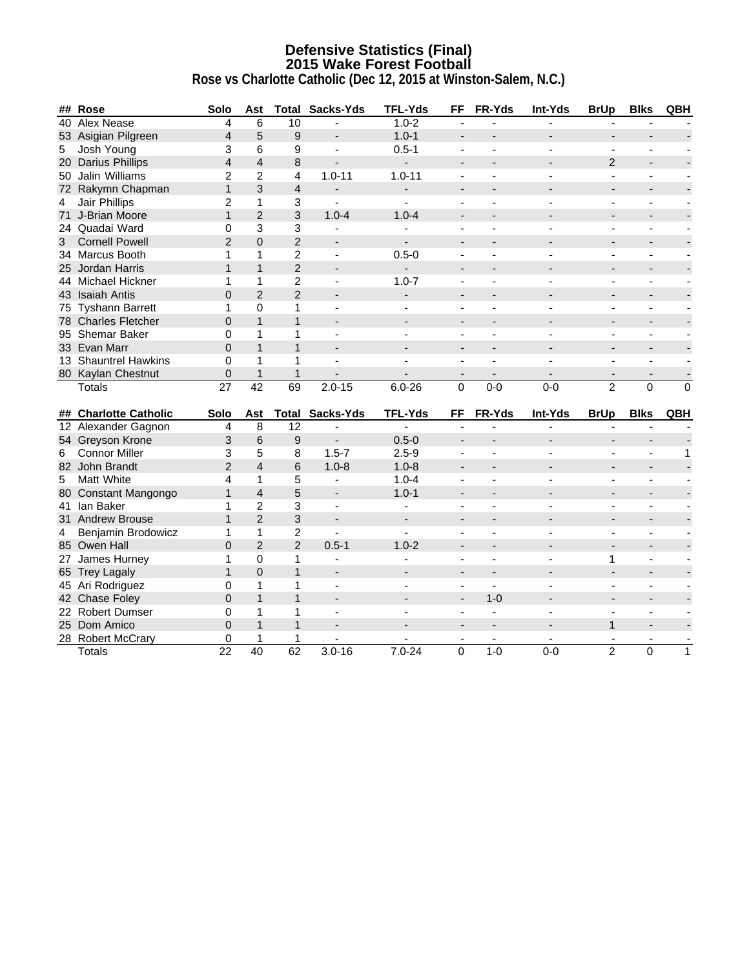# **Defensive Statistics (Final) 2015 Wake Forest Football**

|                | ## Rose                            | Solo                    | Ast             |                         | <b>Total Sacks-Yds</b>   | <b>TFL-Yds</b>           | <b>FF</b>                | FR-Yds                   | Int-Yds                  | <b>BrUp</b>                  | <b>Blks</b>              | QBH            |
|----------------|------------------------------------|-------------------------|-----------------|-------------------------|--------------------------|--------------------------|--------------------------|--------------------------|--------------------------|------------------------------|--------------------------|----------------|
|                | 40 Alex Nease                      | 4                       | 6               | 10                      |                          | $1.0 - 2$                | $\overline{\phantom{a}}$ |                          |                          |                              |                          |                |
|                | 53 Asigian Pilgreen                | 4                       | 5               | $\boldsymbol{9}$        | ÷.                       | $1.0 - 1$                | $\overline{a}$           |                          |                          | $\overline{a}$               |                          |                |
| 5              | Josh Young                         | 3                       | 6               | 9                       | ä,                       | $0.5 - 1$                |                          |                          |                          |                              |                          |                |
|                | 20 Darius Phillips                 | $\overline{\mathbf{4}}$ | $\overline{4}$  | 8                       | $\overline{a}$           | $\mathbf{r}$             | $\overline{a}$           |                          |                          | 2                            |                          |                |
|                | 50 Jalin Williams                  | $\overline{c}$          | $\overline{c}$  | $\overline{\mathbf{4}}$ | $1.0 - 11$               | $1.0 - 11$               | $\blacksquare$           | $\overline{a}$           | $\overline{\phantom{a}}$ | $\blacksquare$               | $\blacksquare$           |                |
|                | 72 Rakymn Chapman                  | $\mathbf{1}$            | 3               | $\sqrt{4}$              | ÷,                       | $\overline{a}$           | $\overline{\phantom{a}}$ |                          |                          | $\overline{\phantom{a}}$     |                          |                |
| $\overline{4}$ | Jair Phillips                      | $\overline{2}$          | $\mathbf{1}$    | 3                       | $\mathbf{r}$             | $\blacksquare$           | $\sim$                   | $\sim$                   | $\overline{\phantom{a}}$ | $\blacksquare$               | $\overline{a}$           |                |
|                | 71 J-Brian Moore                   | $\mathbf{1}$            | $\overline{2}$  | $\mathbf{3}$            | $1.0 - 4$                | $1.0 - 4$                | $\overline{\phantom{a}}$ |                          |                          | $\qquad \qquad \blacksquare$ |                          |                |
|                | 24 Quadai Ward                     | 0                       | 3               | $\mathbf{3}$            | $\mathbf{r}$             |                          | $\blacksquare$           | $\sim$                   | ÷                        | $\blacksquare$               | $\blacksquare$           |                |
| 3              | <b>Cornell Powell</b>              | $\overline{2}$          | $\overline{0}$  | $\overline{2}$          | $\blacksquare$           |                          |                          |                          |                          |                              |                          |                |
|                | 34 Marcus Booth                    | 1                       | 1               | $\overline{c}$          | $\blacksquare$           | $0.5 - 0$                | $\blacksquare$           | $\blacksquare$           |                          | $\blacksquare$               | $\blacksquare$           |                |
|                | 25 Jordan Harris                   | $\mathbf{1}$            | $\mathbf{1}$    | $\overline{2}$          |                          | ÷,                       | $\overline{\phantom{a}}$ |                          |                          |                              |                          |                |
|                | 44 Michael Hickner                 | 1                       | $\mathbf{1}$    | $\overline{2}$          | $\overline{a}$           | $1.0 - 7$                | $\mathbf{r}$             | $\overline{a}$           |                          | ÷,                           | $\overline{a}$           |                |
|                | 43 Isaiah Antis                    | $\overline{0}$          | $\overline{2}$  | $\overline{2}$          | $\frac{1}{2}$            | $\overline{\phantom{a}}$ | $\blacksquare$           | $\overline{a}$           | $\overline{\phantom{a}}$ | $\overline{\phantom{a}}$     | ٠                        |                |
|                | 75 Tyshann Barrett                 | 1                       | 0               | 1                       | L.                       |                          | $\blacksquare$           |                          |                          | $\blacksquare$               | $\blacksquare$           |                |
|                | 78 Charles Fletcher                | 0                       | $\mathbf{1}$    | $\mathbf{1}$            | $\overline{a}$           |                          | $\overline{a}$           |                          |                          | $\blacksquare$               |                          |                |
|                | 95 Shemar Baker                    | 0                       | $\mathbf{1}$    | 1                       | $\mathbf{r}$             |                          | $\blacksquare$           |                          |                          | $\blacksquare$               | $\overline{\phantom{a}}$ |                |
|                | 33 Evan Marr                       | $\overline{0}$          | $\mathbf{1}$    | $\mathbf{1}$            | $\sim$                   | $\overline{a}$           | $\overline{a}$           | $\overline{a}$           |                          | $\blacksquare$               |                          |                |
|                | 13 Shauntrel Hawkins               | 0                       | $\mathbf{1}$    | 1                       |                          |                          |                          |                          |                          |                              |                          |                |
|                | 80 Kaylan Chestnut                 | 0                       | $\mathbf{1}$    | $\mathbf{1}$            |                          |                          | $\overline{\phantom{a}}$ |                          |                          | $\blacksquare$               |                          |                |
|                |                                    |                         |                 |                         |                          |                          |                          |                          |                          |                              |                          |                |
|                | <b>Totals</b>                      | 27                      | $\overline{42}$ | $\overline{69}$         | $2.0 - 15$               | $6.0 - 26$               | $\Omega$                 | $0 - 0$                  | $0 - 0$                  | $\overline{2}$               | $\mathbf 0$              | $\overline{0}$ |
|                |                                    |                         |                 |                         |                          |                          |                          |                          |                          |                              |                          |                |
|                | ## Charlotte Catholic              | Solo                    | Ast             | Total                   | Sacks-Yds                | <b>TFL-Yds</b>           | FF                       | FR-Yds                   | Int-Yds                  | <b>BrUp</b>                  | <b>Blks</b>              | QBH            |
|                | 12 Alexander Gagnon                | 4                       | 8               | 12                      |                          |                          |                          |                          |                          |                              |                          |                |
|                | 54 Greyson Krone                   | 3                       | $\,6$           | $\boldsymbol{9}$        | $\overline{\phantom{a}}$ | $0.5 - 0$                | $\blacksquare$           |                          |                          | $\overline{\phantom{a}}$     |                          |                |
| 6              | <b>Connor Miller</b>               | 3                       | 5               | 8                       | $1.5 - 7$                | $2.5 - 9$                | $\blacksquare$           | $\overline{a}$           |                          | $\mathbf{r}$                 | $\blacksquare$           | 1              |
|                | 82 John Brandt                     | $\overline{2}$          | $\overline{4}$  | 6                       | $1.0 - 8$                | $1.0 - 8$                | $\overline{a}$           | $\overline{a}$           |                          | ÷.                           | $\overline{\phantom{a}}$ |                |
| 5              | Matt White                         | 4                       | $\mathbf{1}$    | 5                       | ÷,                       | $1.0 - 4$                |                          |                          |                          |                              |                          |                |
|                | 80 Constant Mangongo               | $\mathbf{1}$            | $\overline{4}$  | 5                       | $\overline{\phantom{a}}$ | $1.0 - 1$                | $\overline{\phantom{a}}$ |                          |                          |                              |                          |                |
|                | 41 Ian Baker                       | 1                       | $\overline{c}$  | 3                       | ä,                       | $\blacksquare$           | $\blacksquare$           |                          |                          | $\blacksquare$               | $\overline{\phantom{a}}$ |                |
|                | 31 Andrew Brouse                   | $\mathbf{1}$            | $\overline{2}$  | $\mathbf{3}$            | $\blacksquare$           | $\overline{\phantom{a}}$ | $\blacksquare$           |                          |                          | $\overline{\phantom{a}}$     |                          |                |
| $\overline{4}$ | Benjamin Brodowicz                 | $\mathbf{1}$            | $\mathbf{1}$    | $\overline{c}$          | $\overline{a}$           | $\blacksquare$           | $\blacksquare$           | $\overline{a}$           |                          | $\blacksquare$               | $\overline{\phantom{a}}$ |                |
|                | 85 Owen Hall                       | $\overline{0}$          | $\overline{2}$  | $\overline{2}$          | $0.5 - 1$                | $1.0 - 2$                | $\overline{\phantom{a}}$ |                          |                          | $\blacksquare$               | $\blacksquare$           |                |
|                | 27 James Hurney                    | 1                       | 0               | 1                       | $\mathbf{r}$             | $\blacksquare$           | $\blacksquare$           | $\sim$                   | $\blacksquare$           | 1                            | $\blacksquare$           |                |
|                | 65 Trey Lagaly                     | $\mathbf{1}$            | $\overline{0}$  | $\mathbf{1}$            | $\overline{\phantom{m}}$ |                          | $\overline{\phantom{a}}$ |                          |                          | $\overline{\phantom{a}}$     | $\blacksquare$           |                |
|                | 45 Ari Rodriguez                   | 0                       | $\mathbf{1}$    | $\mathbf{1}$            | $\mathbf{r}$             | $\blacksquare$           | $\blacksquare$           | $\overline{\phantom{a}}$ | $\overline{a}$           | $\blacksquare$               | $\blacksquare$           |                |
|                | 42 Chase Foley                     | $\overline{0}$          | $\mathbf{1}$    | $\mathbf{1}$            | $\overline{a}$           |                          | $\blacksquare$           | $1 - 0$                  |                          | $\blacksquare$               |                          |                |
|                | 22 Robert Dumser                   | 0                       | $\mathbf{1}$    | 1                       | $\overline{a}$           |                          | $\blacksquare$           | $\overline{\phantom{a}}$ |                          | ÷,                           | $\blacksquare$           |                |
|                | 25 Dom Amico                       | 0                       | $\mathbf{1}$    | $\mathbf{1}$            | $\overline{\phantom{0}}$ |                          |                          |                          |                          | $\mathbf{1}$                 |                          |                |
|                | 28 Robert McCrary<br><b>Totals</b> | 0<br>$\overline{22}$    | 1<br>40         | 1<br>62                 | $3.0 - 16$               | $7.0 - 24$               | $\overline{0}$           | $1-0$                    | $0 - 0$                  | $\overline{2}$               | $\Omega$                 | $\mathbf{1}$   |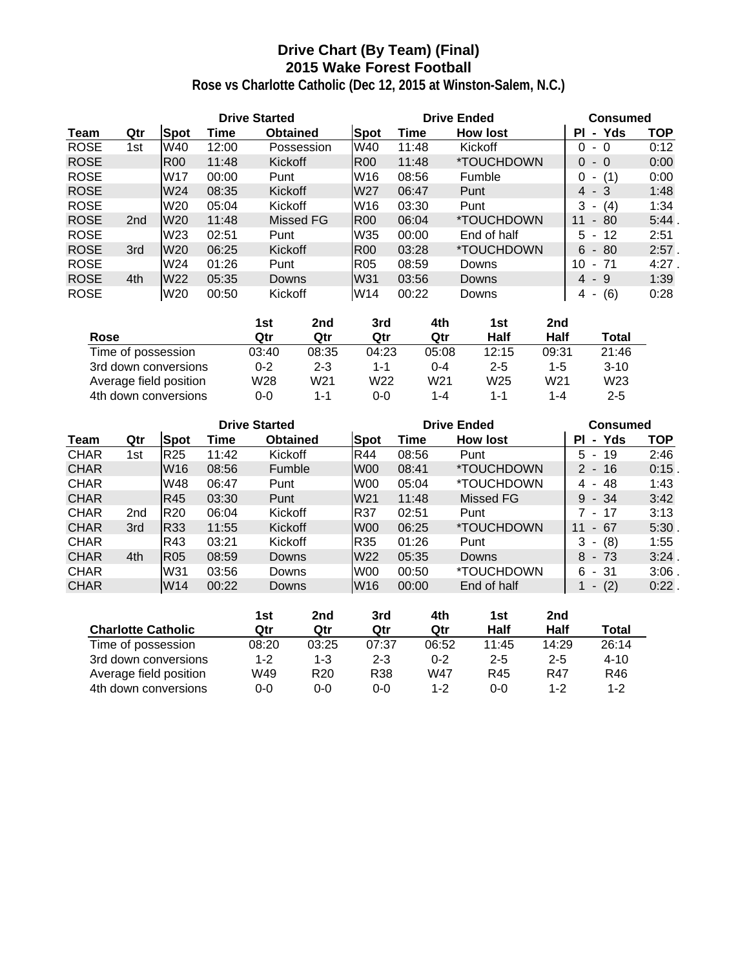# **Drive Chart (By Team) (Final) 2015 Wake Forest Football**

|             |                 |                 | <b>Drive Started</b> |                 |                 | <b>Drive Ended</b> | <b>Consumed</b>          |                                      |          |
|-------------|-----------------|-----------------|----------------------|-----------------|-----------------|--------------------|--------------------------|--------------------------------------|----------|
| Team        | Qtr             | <b>Spot</b>     | Time                 | <b>Obtained</b> | <b>Spot</b>     | Time               | <b>How lost</b>          | Yds<br><b>PI</b><br>$\blacksquare$   | TOP      |
| <b>ROSE</b> | 1st             | W40             | 12:00                | Possession      | W40             | 11:48              | Kickoff                  | 0<br>- 0                             | 0:12     |
| <b>ROSE</b> |                 | <b>R00</b>      | 11:48                | <b>Kickoff</b>  | <b>R00</b>      | 11:48              | <i><b>*TOUCHDOWN</b></i> | $\Omega$<br>$-0$                     | 0:00     |
| <b>ROSE</b> |                 | W17             | 00:00                | Punt            | W16             | 08:56              | Fumble                   | (1)<br>0                             | 0:00     |
| <b>ROSE</b> |                 | W24             | 08:35                | Kickoff         | W27             | 06:47              | Punt                     | $4 - 3$                              | 1:48     |
| <b>ROSE</b> |                 | W20             | 05:04                | Kickoff         | W <sub>16</sub> | 03:30              | Punt                     | 3<br>(4)<br>٠                        | 1:34     |
| <b>ROSE</b> | 2 <sub>nd</sub> | W20             | 11:48                | Missed FG       | IR00            | 06:04              | *TOUCHDOWN               | 11<br>80<br>$\blacksquare$           | 5:44     |
| <b>ROSE</b> |                 | W <sub>23</sub> | 02:51                | Punt            | W35             | 00:00              | End of half              | 12<br>5.<br>$\blacksquare$           | 2:51     |
| <b>ROSE</b> | 3rd             | W20             | 06:25                | Kickoff         | IR00            | 03:28              | *TOUCHDOWN               | -80<br>6<br>$\sim$                   | $2:57$ . |
| <b>ROSE</b> |                 | W24             | 01:26                | Punt            | <b>R05</b>      | 08:59              | Downs                    | 10<br>- 71                           | $4:27$ . |
| <b>ROSE</b> | 4th             | W22             | 05:35                | Downs           | W31             | 03:56              | Downs                    | $4 - 9$                              | 1:39     |
| <b>ROSE</b> |                 | W20             | 00:50                | Kickoff         | W14             | 00:22              | Downs                    | (6)<br>4<br>$\overline{\phantom{a}}$ | 0:28     |

|                        | 1st     | 2nd     | 3rd   | 4th             | 1st     | 2nd             |                 |
|------------------------|---------|---------|-------|-----------------|---------|-----------------|-----------------|
| Rose                   | Qtr     | Qtr     | Qtr   | Qtr             | Half    | Half            | Total           |
| Time of possession     | 03:40   | 08:35   | 04:23 | 05:08           | 12:15   | 09:31           | 21:46           |
| 3rd down conversions   | $0 - 2$ | $2 - 3$ | 1-1   | 0-4             | $2 - 5$ | $1 - 5$         | $3-10$          |
| Average field position | W28     | W21     | W22   | W <sub>21</sub> | W25     | W <sub>21</sub> | W <sub>23</sub> |
| 4th down conversions   | 0-0     | 1-1     | 0-0   | $1 - 4$         | 1-1     | $1 - 4$         | $2 - 5$         |

|             |                 |                 |       | <b>Drive Started</b> |                 | <b>Drive Ended</b> | <b>Consumed</b>          |                                    |          |
|-------------|-----------------|-----------------|-------|----------------------|-----------------|--------------------|--------------------------|------------------------------------|----------|
| Team        | Qtr             | Spot            | Time  | <b>Obtained</b>      | <b>Spot</b>     | Time               | <b>How lost</b>          | Yds<br><b>PI</b><br>$\blacksquare$ | TOP      |
| <b>CHAR</b> | 1st             | R <sub>25</sub> | 11:42 | Kickoff              | R44             | 08:56              | Punt                     | 19<br>5.<br>$\sim$                 | 2:46     |
| <b>CHAR</b> |                 | W16             | 08:56 | Fumble               | W <sub>00</sub> | 08:41              | *TOUCHDOWN               | $2 - 16$                           | $0:15$ . |
| <b>CHAR</b> |                 | W48             | 06:47 | Punt                 | W00             | 05:04              | *TOUCHDOWN               | 48<br>4<br>$\blacksquare$          | 1:43     |
| <b>CHAR</b> |                 | R45             | 03:30 | Punt                 | W <sub>21</sub> | 11:48              | Missed FG                | 9<br>$-34$                         | 3:42     |
| <b>CHAR</b> | 2 <sub>nd</sub> | R <sub>20</sub> | 06:04 | Kickoff              | IR37            | 02:51              | Punt                     | 17<br>$\sim$                       | 3:13     |
| <b>CHAR</b> | 3rd             | R33             | 11:55 | Kickoff              | W <sub>00</sub> | 06:25              | <i><b>*TOUCHDOWN</b></i> | 67<br>11<br>۰.                     | 5:30.    |
| <b>CHAR</b> |                 | R43             | 03:21 | Kickoff              | R35             | 01:26              | Punt                     | (8)<br>3<br>٠                      | 1:55     |
| <b>CHAR</b> | 4th             | <b>R05</b>      | 08:59 | Downs                | W22             | 05:35              | Downs                    | $-73$<br>8                         | $3:24$ . |
| <b>CHAR</b> |                 | W31             | 03:56 | Downs                | W00             | 00:50              | *TOUCHDOWN               | - 31<br>6                          | 3:06     |
| <b>CHAR</b> |                 | W14             | 00:22 | Downs                | W <sub>16</sub> | 00:00              | End of half              | (2)<br>$\overline{\phantom{a}}$    | $0:22$ . |

|                           | 1st     | 2nd             | 3rd     | 4th     | 1st     | 2nd     |          |
|---------------------------|---------|-----------------|---------|---------|---------|---------|----------|
| <b>Charlotte Catholic</b> | Qtr     | Qtr             | Qtr     | Qtr     | Half    | Half    | Total    |
| Time of possession        | 08:20   | 03:25           | 07:37   | 06:52   | 11:45   | 14:29   | 26:14    |
| 3rd down conversions      | $1 - 2$ | 1-3             | $2 - 3$ | $0 - 2$ | $2 - 5$ | $2 - 5$ | $4 - 10$ |
| Average field position    | W49     | R <sub>20</sub> | R38     | W47     | R45     | R47     | R46      |
| 4th down conversions      | 0-0     | 0-0             | 0-0     | $1 - 2$ | $0 - 0$ | $1 - 2$ | $1 - 2$  |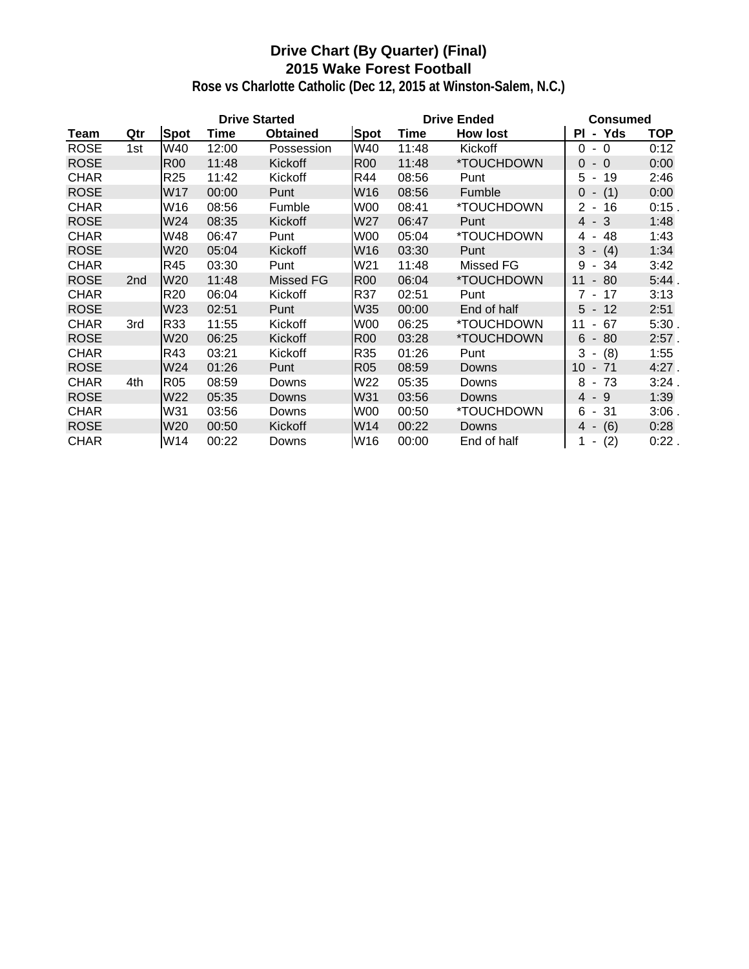# **Drive Chart (By Quarter) (Final) 2015 Wake Forest Football**

|             |                 |                 | <b>Drive Started</b> |                 |                 | <b>Drive Ended</b> | <b>Consumed</b> |                                        |            |
|-------------|-----------------|-----------------|----------------------|-----------------|-----------------|--------------------|-----------------|----------------------------------------|------------|
| <b>Team</b> | Qtr             | <b>Spot</b>     | <b>Time</b>          | <b>Obtained</b> | Spot            | Time               | <b>How lost</b> | Yds<br>ΡI<br>$\blacksquare$            | <b>TOP</b> |
| <b>ROSE</b> | 1st             | W40             | 12:00                | Possession      | W40             | 11:48              | Kickoff         | $-0$<br>$\Omega$                       | 0:12       |
| <b>ROSE</b> |                 | <b>R00</b>      | 11:48                | Kickoff         | <b>R00</b>      | 11:48              | *TOUCHDOWN      | $\overline{0}$<br>$-0$                 | 0:00       |
| <b>CHAR</b> |                 | R <sub>25</sub> | 11:42                | Kickoff         | R44             | 08:56              | Punt            | 5<br>19<br>$\blacksquare$              | 2:46       |
| <b>ROSE</b> |                 | W17             | 00:00                | Punt            | W <sub>16</sub> | 08:56              | Fumble          | $0 - (1)$                              | 0:00       |
| <b>CHAR</b> |                 | W16             | 08:56                | Fumble          | W00             | 08:41              | *TOUCHDOWN      | $\overline{2}$<br>16<br>$\blacksquare$ | $0:15$ .   |
| <b>ROSE</b> |                 | W24             | 08:35                | Kickoff         | W27             | 06:47              | Punt            | 4 - 3                                  | 1:48       |
| <b>CHAR</b> |                 | W48             | 06:47                | Punt            | W00             | 05:04              | *TOUCHDOWN      | 4 - 48                                 | 1:43       |
| <b>ROSE</b> |                 | W20             | 05:04                | Kickoff         | W16             | 03:30              | Punt            | $3 - (4)$                              | 1:34       |
| <b>CHAR</b> |                 | R45             | 03:30                | Punt            | W21             | 11:48              | Missed FG       | 9<br>- 34                              | 3:42       |
| <b>ROSE</b> | 2 <sub>nd</sub> | W20             | 11:48                | Missed FG       | <b>R00</b>      | 06:04              | *TOUCHDOWN      | 11<br>$-80$                            | 5:44.      |
| <b>CHAR</b> |                 | R <sub>20</sub> | 06:04                | Kickoff         | R37             | 02:51              | Punt            | 7 -<br>17                              | 3:13       |
| <b>ROSE</b> |                 | W23             | 02:51                | Punt            | W35             | 00:00              | End of half     | $5 - 12$                               | 2:51       |
| <b>CHAR</b> | 3rd             | R33             | 11:55                | Kickoff         | W00             | 06:25              | *TOUCHDOWN      | 67<br>11<br>$\blacksquare$             | 5:30.      |
| <b>ROSE</b> |                 | W <sub>20</sub> | 06:25                | Kickoff         | <b>R00</b>      | 03:28              | *TOUCHDOWN      | 6<br>80<br>$\overline{\phantom{a}}$    | 2:57.      |
| <b>CHAR</b> |                 | R43             | 03:21                | Kickoff         | R35             | 01:26              | Punt            | 3<br>$- (8)$                           | 1:55       |
| <b>ROSE</b> |                 | W24             | 01:26                | Punt            | <b>R05</b>      | 08:59              | Downs           | 10<br>$-71$                            | 4:27.      |
| <b>CHAR</b> | 4th             | R <sub>05</sub> | 08:59                | Downs           | W22             | 05:35              | Downs           | 8<br>- 73                              | 3:24.      |
| <b>ROSE</b> |                 | W22             | 05:35                | Downs           | W31             | 03:56              | Downs           | $4 - 9$                                | 1:39       |
| <b>CHAR</b> |                 | W31             | 03:56                | Downs           | W00             | 00:50              | *TOUCHDOWN      | 6<br>31<br>$\sim$                      | $3:06$ .   |
| <b>ROSE</b> |                 | W20             | 00:50                | Kickoff         | W14             | 00:22              | Downs           | (6)<br>4 -                             | 0:28       |
| <b>CHAR</b> |                 | W14             | 00:22                | Downs           | W16             | 00:00              | End of half     | (2)<br>1 -                             | $0:22$ .   |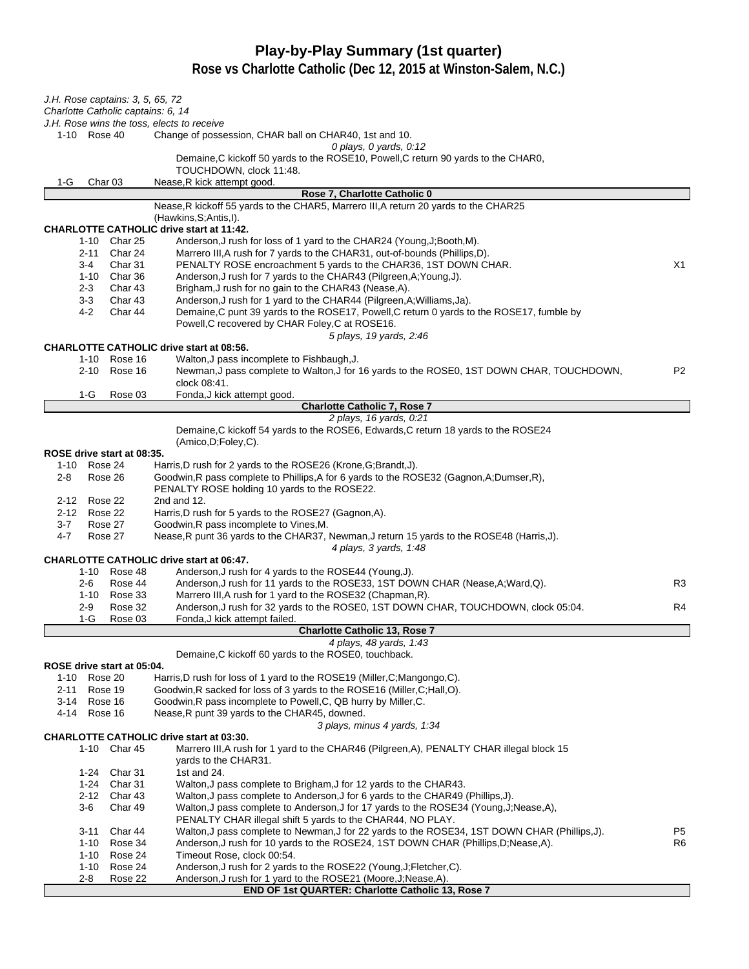# **Play-by-Play Summary (1st quarter)**

| J.H. Rose captains: 3, 5, 65, 72<br>Charlotte Catholic captains: 6, 14                                                                                           |                |
|------------------------------------------------------------------------------------------------------------------------------------------------------------------|----------------|
| J.H. Rose wins the toss, elects to receive                                                                                                                       |                |
| 1-10 Rose 40<br>Change of possession, CHAR ball on CHAR40, 1st and 10.                                                                                           |                |
| 0 plays, 0 yards, $0.12$                                                                                                                                         |                |
| Demaine, C kickoff 50 yards to the ROSE10, Powell, C return 90 yards to the CHAR0,                                                                               |                |
| TOUCHDOWN, clock 11:48.<br>Nease, R kick attempt good.                                                                                                           |                |
| 1-G<br>Char <sub>03</sub><br>Rose 7, Charlotte Catholic 0                                                                                                        |                |
| Nease, R kickoff 55 yards to the CHAR5, Marrero III, A return 20 yards to the CHAR25                                                                             |                |
| (Hawkins, S; Antis, I).                                                                                                                                          |                |
| <b>CHARLOTTE CATHOLIC drive start at 11:42.</b>                                                                                                                  |                |
| Anderson, J rush for loss of 1 yard to the CHAR24 (Young, J; Booth, M).<br>1-10 Char 25                                                                          |                |
| Char 24<br>Marrero III, A rush for 7 yards to the CHAR31, out-of-bounds (Phillips, D).<br>$2 - 11$                                                               |                |
| Char 31<br>PENALTY ROSE encroachment 5 yards to the CHAR36, 1ST DOWN CHAR.<br>$3 - 4$                                                                            | X1             |
| 1-10 Char 36<br>Anderson, J rush for 7 yards to the CHAR43 (Pilgreen, A; Young, J).<br>Char 43<br>Brigham, J rush for no gain to the CHAR43 (Nease, A).<br>$2-3$ |                |
| $3-3$<br>Char 43<br>Anderson, J rush for 1 yard to the CHAR44 (Pilgreen, A; Williams, Ja).                                                                       |                |
| 4-2<br>Char 44<br>Demaine, C punt 39 yards to the ROSE17, Powell, C return 0 yards to the ROSE17, fumble by                                                      |                |
| Powell, C recovered by CHAR Foley, C at ROSE16.                                                                                                                  |                |
| 5 plays, 19 yards, 2:46                                                                                                                                          |                |
| <b>CHARLOTTE CATHOLIC drive start at 08:56.</b>                                                                                                                  |                |
| 1-10 Rose 16<br>Walton, J pass incomplete to Fishbaugh, J.                                                                                                       |                |
| Newman, J pass complete to Walton, J for 16 yards to the ROSE0, 1ST DOWN CHAR, TOUCHDOWN,<br>2-10 Rose 16                                                        | P <sub>2</sub> |
| clock 08:41.                                                                                                                                                     |                |
| Fonda, J kick attempt good.<br>1-G<br>Rose 03<br><b>Charlotte Catholic 7, Rose 7</b>                                                                             |                |
| 2 plays, 16 yards, 0:21                                                                                                                                          |                |
| Demaine, C kickoff 54 yards to the ROSE6, Edwards, C return 18 yards to the ROSE24                                                                               |                |
| (Amico, D; Foley, C).                                                                                                                                            |                |
| ROSE drive start at 08:35.                                                                                                                                       |                |
| 1-10 Rose 24<br>Harris,D rush for 2 yards to the ROSE26 (Krone,G;Brandt,J).                                                                                      |                |
| Goodwin, R pass complete to Phillips, A for 6 yards to the ROSE32 (Gagnon, A; Dumser, R),<br>$2 - 8$<br>Rose 26                                                  |                |
| PENALTY ROSE holding 10 yards to the ROSE22.                                                                                                                     |                |
| Rose 22<br>2nd and 12.<br>2-12<br>2-12 Rose 22<br>Harris, D rush for 5 yards to the ROSE27 (Gagnon, A).                                                          |                |
| $3 - 7$<br>Rose 27<br>Goodwin, R pass incomplete to Vines, M.                                                                                                    |                |
| $4 - 7$<br>Nease, R punt 36 yards to the CHAR37, Newman, J return 15 yards to the ROSE48 (Harris, J).<br>Rose 27                                                 |                |
| 4 plays, 3 yards, 1:48                                                                                                                                           |                |
| <b>CHARLOTTE CATHOLIC drive start at 06:47.</b>                                                                                                                  |                |
| Anderson, J rush for 4 yards to the ROSE44 (Young, J).<br>1-10 Rose 48                                                                                           |                |
| Rose 44<br>Anderson, J rush for 11 yards to the ROSE33, 1ST DOWN CHAR (Nease, A; Ward, Q).<br>$2 - 6$                                                            | R <sub>3</sub> |
| Marrero III, A rush for 1 yard to the ROSE32 (Chapman, R).<br>1-10 Rose 33                                                                                       |                |
| Anderson, J rush for 32 yards to the ROSE0, 1ST DOWN CHAR, TOUCHDOWN, clock 05:04.<br>Rose 32<br>2-9                                                             | R4             |
| 1-G<br>Rose 03<br>Fonda, J kick attempt failed.<br><b>Charlotte Catholic 13, Rose 7</b>                                                                          |                |
| 4 plays, 48 yards, 1:43                                                                                                                                          |                |
| Demaine, C kickoff 60 yards to the ROSE0, touchback.                                                                                                             |                |
| ROSE drive start at 05:04.                                                                                                                                       |                |
| 1-10 Rose 20<br>Harris, D rush for loss of 1 yard to the ROSE19 (Miller, C; Mangongo, C).                                                                        |                |
| Goodwin, R sacked for loss of 3 yards to the ROSE16 (Miller, C; Hall, O).<br>2-11<br>Rose 19                                                                     |                |
| Rose 16<br>Goodwin, R pass incomplete to Powell, C, QB hurry by Miller, C.<br>3-14                                                                               |                |
| Nease, R punt 39 yards to the CHAR45, downed.<br>4-14<br>Rose 16                                                                                                 |                |
| 3 plays, minus 4 yards, 1:34                                                                                                                                     |                |
| <b>CHARLOTTE CATHOLIC drive start at 03:30.</b><br>1-10 Char 45<br>Marrero III, A rush for 1 yard to the CHAR46 (Pilgreen, A), PENALTY CHAR illegal block 15     |                |
| yards to the CHAR31.                                                                                                                                             |                |
| Char 31<br>1st and 24.<br>1-24                                                                                                                                   |                |
| $1 - 24$<br>Char 31<br>Walton, J pass complete to Brigham, J for 12 yards to the CHAR43.                                                                         |                |
| $2 - 12$<br>Char 43<br>Walton, J pass complete to Anderson, J for 6 yards to the CHAR49 (Phillips, J).                                                           |                |
| Walton, J pass complete to Anderson, J for 17 yards to the ROSE34 (Young, J; Nease, A),<br>3-6<br>Char 49                                                        |                |
| PENALTY CHAR illegal shift 5 yards to the CHAR44, NO PLAY.                                                                                                       |                |
| Char 44<br>Walton, J pass complete to Newman, J for 22 yards to the ROSE34, 1ST DOWN CHAR (Phillips, J).<br>$3 - 11$                                             | P <sub>5</sub> |
| $1 - 10$<br>Rose 34<br>Anderson, J rush for 10 yards to the ROSE24, 1ST DOWN CHAR (Phillips, D; Nease, A).                                                       | R <sub>6</sub> |
| Rose 24<br>$1 - 10$<br>Timeout Rose, clock 00:54.<br>Anderson, J rush for 2 yards to the ROSE22 (Young, J; Fletcher, C).<br>$1 - 10$<br>Rose 24                  |                |
| Anderson, J rush for 1 yard to the ROSE21 (Moore, J; Nease, A).<br>2-8<br>Rose 22                                                                                |                |
| END OF 1st QUARTER: Charlotte Catholic 13, Rose 7                                                                                                                |                |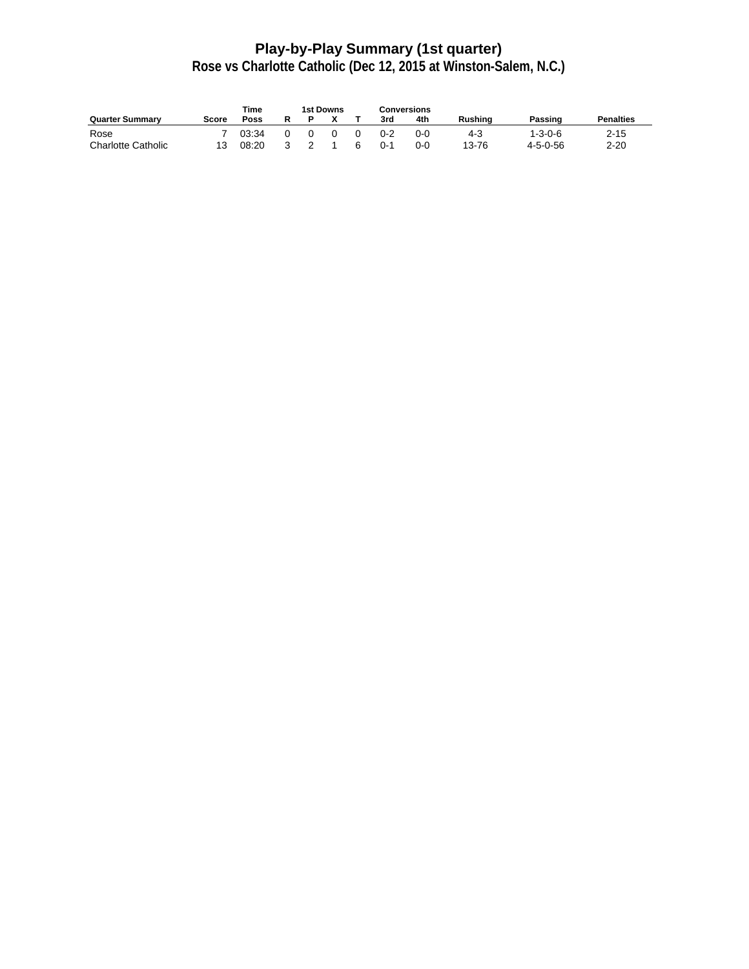# **Play-by-Play Summary (1st quarter)**

|                           |       | Time  |  | 1st Downs |   |         | Conversions |                |                  |                  |
|---------------------------|-------|-------|--|-----------|---|---------|-------------|----------------|------------------|------------------|
| <b>Quarter Summary</b>    | Score | Poss  |  |           |   | 3rd     | 4th         | <b>Rushing</b> | Passing          | <b>Penalties</b> |
| Rose                      |       | 03:34 |  |           |   | $0 - 2$ | $0 - 0$     | 4-3            | 1-3-0-6          | $2 - 15$         |
| <b>Charlotte Catholic</b> |       | 08:20 |  |           | ี | $0 - 1$ | $0 - 0$     | 13-76          | $4 - 5 - 0 - 56$ | 2-20             |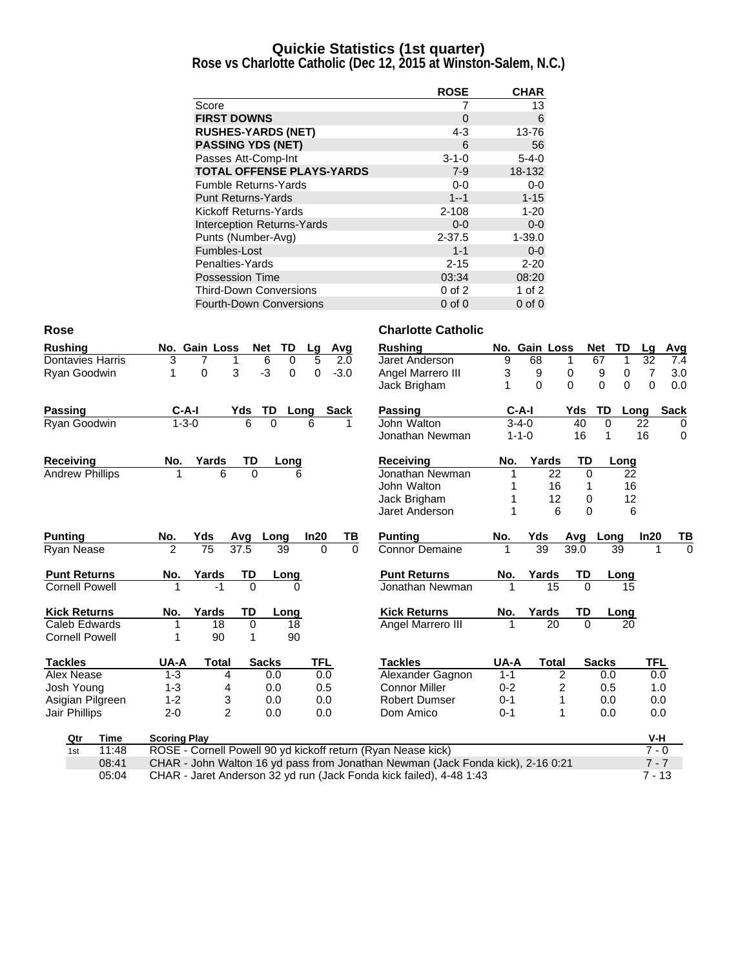#### **Quickie Statistics (1st quarter)**

**Rose vs Charlotte Catholic (Dec 12, 2015 at Winston-Salem, N.C.)**

|                                  | <b>ROSE</b> | <b>CHAR</b> |
|----------------------------------|-------------|-------------|
| Score                            |             | 13          |
| <b>FIRST DOWNS</b>               | $\Omega$    | 6           |
| <b>RUSHES-YARDS (NET)</b>        | 4-3         | 13-76       |
| <b>PASSING YDS (NET)</b>         | 6           | 56          |
| Passes Att-Comp-Int              | $3 - 1 - 0$ | $5 - 4 - 0$ |
| <b>TOTAL OFFENSE PLAYS-YARDS</b> | $7-9$       | 18-132      |
| <b>Fumble Returns-Yards</b>      | $0-0$       | $0-0$       |
| <b>Punt Returns-Yards</b>        | $1 - 1$     | $1 - 15$    |
| Kickoff Returns-Yards            | $2 - 108$   | $1 - 20$    |
| Interception Returns-Yards       | $0 - 0$     | $0-0$       |
| Punts (Number-Avg)               | $2 - 37.5$  | $1 - 39.0$  |
| Fumbles-Lost                     | $1 - 1$     | $0 - 0$     |
| Penalties-Yards                  | $2 - 15$    | $2 - 20$    |
| <b>Possession Time</b>           | 03:34       | 08:20       |
| <b>Third-Down Conversions</b>    | $0$ of $2$  | 1 of $2$    |
| <b>Fourth-Down Conversions</b>   | $0$ of $0$  | $0$ of $0$  |

| <b>Rushing</b>          |             |                     | No. Gain Loss  |          | Net<br>TD           | Lq         | Avg         | <b>Rushing</b>                                                                  |         | No. Gain Loss |                | Net<br>TD                  | Lq             | Avg         |
|-------------------------|-------------|---------------------|----------------|----------|---------------------|------------|-------------|---------------------------------------------------------------------------------|---------|---------------|----------------|----------------------------|----------------|-------------|
| <b>Dontavies Harris</b> |             | 3                   | 7              |          | 6<br>0              | 5          | 2.0         | Jaret Anderson                                                                  | 9       | 68            | 1              | 67                         | 32             | 7.4         |
| Ryan Goodwin            |             | 1                   | 0              | 3        | $-3$<br>$\mathbf 0$ | $\Omega$   | $-3.0$      | Angel Marrero III                                                               | 3       | 9             | 0              | 9<br>0                     | $\overline{7}$ | 3.0         |
|                         |             |                     |                |          |                     |            |             | Jack Brigham                                                                    | 1       | $\Omega$      | $\Omega$       | $\Omega$<br>$\overline{0}$ | $\mathbf 0$    | 0.0         |
| Passing                 |             | $C-A-I$             |                | Yds      | TD                  | Long       | <b>Sack</b> | <b>Passing</b>                                                                  |         | $C-A-I$       | Yds            | TD<br>Long                 |                | <b>Sack</b> |
| Ryan Goodwin            |             | $1 - 3 - 0$         |                | 6        | $\Omega$            | 6          | 1           | John Walton                                                                     |         | $3 - 4 - 0$   | 40             | $\Omega$                   | 22             | $\mathbf 0$ |
|                         |             |                     |                |          |                     |            |             | Jonathan Newman                                                                 |         | $1 - 1 - 0$   | 16             | 1                          | 16             | 0           |
| Receiving               |             | No.                 | Yards          | TD       | Long                |            |             | Receiving                                                                       | No.     | Yards         | TD             | Long                       |                |             |
| <b>Andrew Phillips</b>  |             | 1                   | 6              | $\Omega$ | 6                   |            |             | Jonathan Newman                                                                 |         | 22            | $\Omega$       | 22                         |                |             |
|                         |             |                     |                |          |                     |            |             | John Walton                                                                     |         | 16            |                | 16                         |                |             |
|                         |             |                     |                |          |                     |            |             | Jack Brigham                                                                    | 1       | 12            | 0              | 12                         |                |             |
|                         |             |                     |                |          |                     |            |             | Jaret Anderson                                                                  | 1       | 6             | $\Omega$       | 6                          |                |             |
| <b>Punting</b>          |             | No.                 | Yds            | Avq      | Long                | In20       | ΤВ          | <b>Punting</b>                                                                  | No.     | Yds           | Avq            | Long                       | In20           | ΤВ          |
| <b>Ryan Nease</b>       |             | 2                   | 75             | 37.5     | 39                  | 0          | $\Omega$    | <b>Connor Demaine</b>                                                           |         | 39            | 39.0           | 39                         |                | $\Omega$    |
| <b>Punt Returns</b>     |             | No.                 | Yards          | TD       | Long                |            |             | <b>Punt Returns</b>                                                             | No.     | Yards         | <b>TD</b>      | Long                       |                |             |
| <b>Cornell Powell</b>   |             |                     | $-1$           | $\Omega$ | 0                   |            |             | Jonathan Newman                                                                 |         | 15            | $\Omega$       | 15                         |                |             |
| <b>Kick Returns</b>     |             | No.                 | Yards          | TD       | Long                |            |             | <b>Kick Returns</b>                                                             | No.     | Yards         | TD             | Long                       |                |             |
| Caleb Edwards           |             |                     | 18             | $\Omega$ | 18                  |            |             | Angel Marrero III                                                               |         | 20            | $\Omega$       | 20                         |                |             |
| <b>Cornell Powell</b>   |             |                     | 90             | 1        | 90                  |            |             |                                                                                 |         |               |                |                            |                |             |
| <b>Tackles</b>          |             | UA-A                | <b>Total</b>   |          | <b>Sacks</b>        | <b>TFL</b> |             | <b>Tackles</b>                                                                  | UA-A    | <b>Total</b>  |                | <b>Sacks</b>               | TFL            |             |
| Alex Nease              |             | $1 - 3$             | 4              |          | 0.0                 | 0.0        |             | Alexander Gagnon                                                                | $1 - 1$ |               | $\overline{2}$ | 0.0                        | 0.0            |             |
| Josh Young              |             | $1 - 3$             | 4              |          | 0.0                 | 0.5        |             | <b>Connor Miller</b>                                                            | $0 - 2$ |               | 2              | 0.5                        | 1.0            |             |
| Asigian Pilgreen        |             | $1 - 2$             | 3              |          | 0.0                 | 0.0        |             | <b>Robert Dumser</b>                                                            | $0 - 1$ |               | 1              | 0.0                        | 0.0            |             |
| Jair Phillips           |             | $2 - 0$             | $\overline{2}$ |          | 0.0                 | 0.0        |             | Dom Amico                                                                       | $0 - 1$ |               | $\mathbf 1$    | 0.0                        | 0.0            |             |
| Qtr                     | <b>Time</b> | <b>Scoring Play</b> |                |          |                     |            |             |                                                                                 |         |               |                |                            | $V-H$          |             |
| 1st                     | 11:48       |                     |                |          |                     |            |             | ROSE - Cornell Powell 90 yd kickoff return (Ryan Nease kick)                    |         |               |                |                            | $7 - 0$        |             |
|                         | 08:41       |                     |                |          |                     |            |             | CHAR - John Walton 16 yd pass from Jonathan Newman (Jack Fonda kick), 2-16 0:21 |         |               |                |                            | $7 - 7$        |             |
|                         | 05:04       |                     |                |          |                     |            |             | CHAR - Jaret Anderson 32 yd run (Jack Fonda kick failed), 4-48 1:43             |         |               |                |                            | $7 - 13$       |             |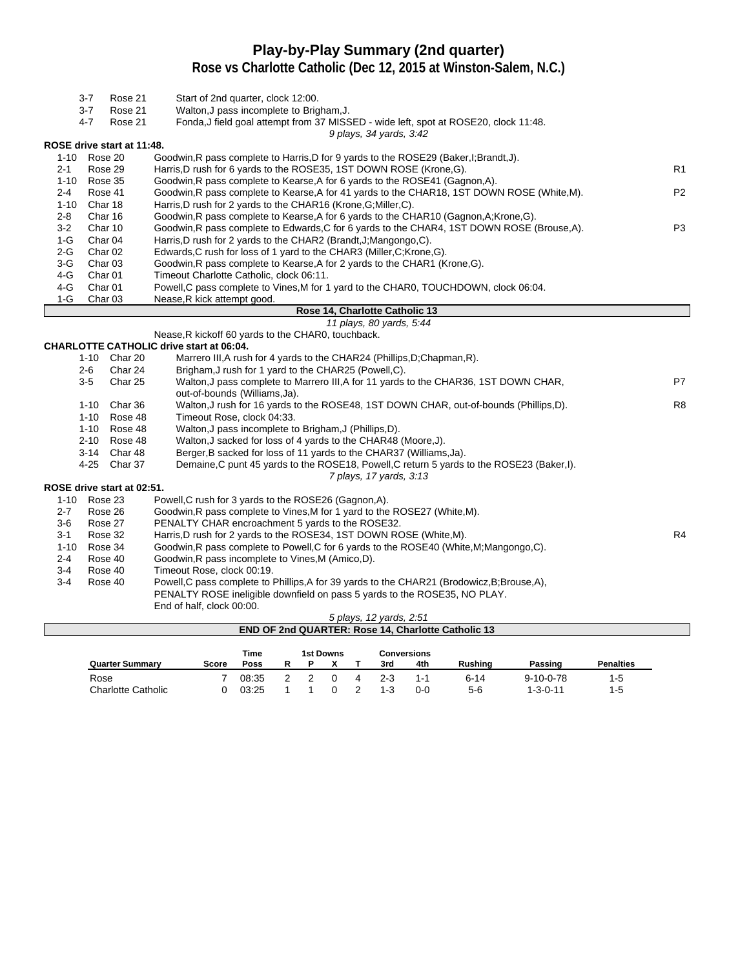#### **Play-by-Play Summary (2nd quarter)**

|                    | $3 - 7$<br>Rose 21                         | Start of 2nd quarter, clock 12:00.                                                                                                          |                |
|--------------------|--------------------------------------------|---------------------------------------------------------------------------------------------------------------------------------------------|----------------|
|                    | $3 - 7$<br>Rose 21                         | Walton, J pass incomplete to Brigham, J.                                                                                                    |                |
|                    | Rose 21<br>$4 - 7$                         | Fonda, J field goal attempt from 37 MISSED - wide left, spot at ROSE20, clock 11:48.                                                        |                |
|                    |                                            | 9 plays, 34 yards, 3:42                                                                                                                     |                |
|                    | ROSE drive start at 11:48.                 |                                                                                                                                             |                |
|                    | 1-10 Rose 20                               | Goodwin, R pass complete to Harris, D for 9 yards to the ROSE29 (Baker, I; Brandt, J).                                                      |                |
| $2 - 1$            | Rose 29                                    | Harris, D rush for 6 yards to the ROSE35, 1ST DOWN ROSE (Krone, G).                                                                         | R <sub>1</sub> |
|                    | 1-10 Rose 35                               | Goodwin, R pass complete to Kearse, A for 6 yards to the ROSE41 (Gagnon, A).                                                                |                |
| $2 - 4$            | Rose 41                                    | Goodwin, R pass complete to Kearse, A for 41 yards to the CHAR18, 1ST DOWN ROSE (White, M).                                                 | P <sub>2</sub> |
| $1 - 10$           | Char 18                                    | Harris, D rush for 2 yards to the CHAR16 (Krone, G; Miller, C).                                                                             |                |
| $2 - 8$<br>$3 - 2$ | Char 16                                    | Goodwin, R pass complete to Kearse, A for 6 yards to the CHAR10 (Gagnon, A; Krone, G).                                                      | P <sub>3</sub> |
|                    | Char 10<br>Char 04                         | Goodwin, R pass complete to Edwards, C for 6 yards to the CHAR4, 1ST DOWN ROSE (Brouse, A).                                                 |                |
| $1-G$<br>2-G       | Char <sub>02</sub>                         | Harris, D rush for 2 yards to the CHAR2 (Brandt, J; Mangongo, C).<br>Edwards, C rush for loss of 1 yard to the CHAR3 (Miller, C; Krone, G). |                |
| 3-G                | Char <sub>03</sub>                         | Goodwin, R pass complete to Kearse, A for 2 yards to the CHAR1 (Krone, G).                                                                  |                |
| 4-G                | Char <sub>01</sub>                         | Timeout Charlotte Catholic, clock 06:11.                                                                                                    |                |
| 4-G                | Char <sub>01</sub>                         | Powell, C pass complete to Vines, M for 1 yard to the CHAR0, TOUCHDOWN, clock 06:04.                                                        |                |
| 1-G                | Char <sub>03</sub>                         | Nease, R kick attempt good.                                                                                                                 |                |
|                    |                                            | Rose 14, Charlotte Catholic 13                                                                                                              |                |
|                    |                                            | 11 plays, 80 yards, 5:44                                                                                                                    |                |
|                    |                                            | Nease, R kickoff 60 yards to the CHAR0, touchback.                                                                                          |                |
|                    |                                            | <b>CHARLOTTE CATHOLIC drive start at 06:04.</b>                                                                                             |                |
|                    | 1-10 Char 20                               | Marrero III, A rush for 4 yards to the CHAR24 (Phillips, D; Chapman, R).                                                                    |                |
|                    | $2 - 6$<br>Char 24                         | Brigham, J rush for 1 yard to the CHAR25 (Powell, C).                                                                                       |                |
|                    | $3-5$<br>Char 25                           | Walton, J pass complete to Marrero III, A for 11 yards to the CHAR36, 1ST DOWN CHAR,                                                        | P7             |
|                    |                                            | out-of-bounds (Williams, Ja).                                                                                                               |                |
|                    | 1-10 Char 36                               | Walton, J rush for 16 yards to the ROSE48, 1ST DOWN CHAR, out-of-bounds (Phillips,D).                                                       | R <sub>8</sub> |
|                    | 1-10 Rose 48                               | Timeout Rose, clock 04:33.                                                                                                                  |                |
|                    | 1-10 Rose 48                               | Walton, J pass incomplete to Brigham, J (Phillips, D).                                                                                      |                |
|                    | 2-10 Rose 48                               | Walton, J sacked for loss of 4 yards to the CHAR48 (Moore, J).                                                                              |                |
|                    | 3-14 Char 48                               | Berger, B sacked for loss of 11 yards to the CHAR37 (Williams, Ja).                                                                         |                |
|                    | 4-25 Char 37                               | Demaine, C punt 45 yards to the ROSE18, Powell, C return 5 yards to the ROSE23 (Baker, I).                                                  |                |
|                    |                                            | 7 plays, 17 yards, 3:13                                                                                                                     |                |
|                    | ROSE drive start at 02:51.<br>1-10 Rose 23 | Powell, C rush for 3 yards to the ROSE26 (Gagnon, A).                                                                                       |                |
| $2 - 7$            | Rose 26                                    | Goodwin, R pass complete to Vines, M for 1 yard to the ROSE27 (White, M).                                                                   |                |
| $3-6$              | Rose 27                                    | PENALTY CHAR encroachment 5 yards to the ROSE32.                                                                                            |                |
| $3 - 1$            | Rose 32                                    | Harris, D rush for 2 yards to the ROSE34, 1ST DOWN ROSE (White, M).                                                                         | R4             |
| $1 - 10$           | Rose 34                                    | Goodwin, R pass complete to Powell, C for 6 yards to the ROSE40 (White, M; Mangongo, C).                                                    |                |
| $2 - 4$            | Rose 40                                    | Goodwin, R pass incomplete to Vines, M (Amico, D).                                                                                          |                |
| $3-4$              | Rose 40                                    | Timeout Rose, clock 00:19.                                                                                                                  |                |
| $3-4$              | Rose 40                                    | Powell, C pass complete to Phillips, A for 39 yards to the CHAR21 (Brodowicz, B; Brouse, A),                                                |                |
|                    |                                            | PENALTY ROSE ineligible downfield on pass 5 yards to the ROSE35, NO PLAY.                                                                   |                |
|                    |                                            | End of half, clock 00:00.                                                                                                                   |                |
|                    |                                            | 5 plays, 12 yards, 2:51                                                                                                                     |                |
|                    |                                            | END OF 2nd QUARTER: Rose 14, Charlotte Catholic 13                                                                                          |                |

|                           |       | <b>Time</b> |  | 1st Downs |         | Conversions |                |                   |                  |
|---------------------------|-------|-------------|--|-----------|---------|-------------|----------------|-------------------|------------------|
| <b>Quarter Summary</b>    | Score | Poss        |  |           | 3rd     | 4th         | <b>Rushing</b> | Passing           | <b>Penalties</b> |
| Rose                      |       | 08:35       |  |           | $2 - 3$ | 1-1         | $6 - 14$       | $9 - 10 - 0 - 78$ | 1-5              |
| <b>Charlotte Catholic</b> |       | 03:25       |  |           | $1 - 3$ | $0 - 0$     | $5-6$          | $1 - 3 - 0 - 11$  | $1-5$            |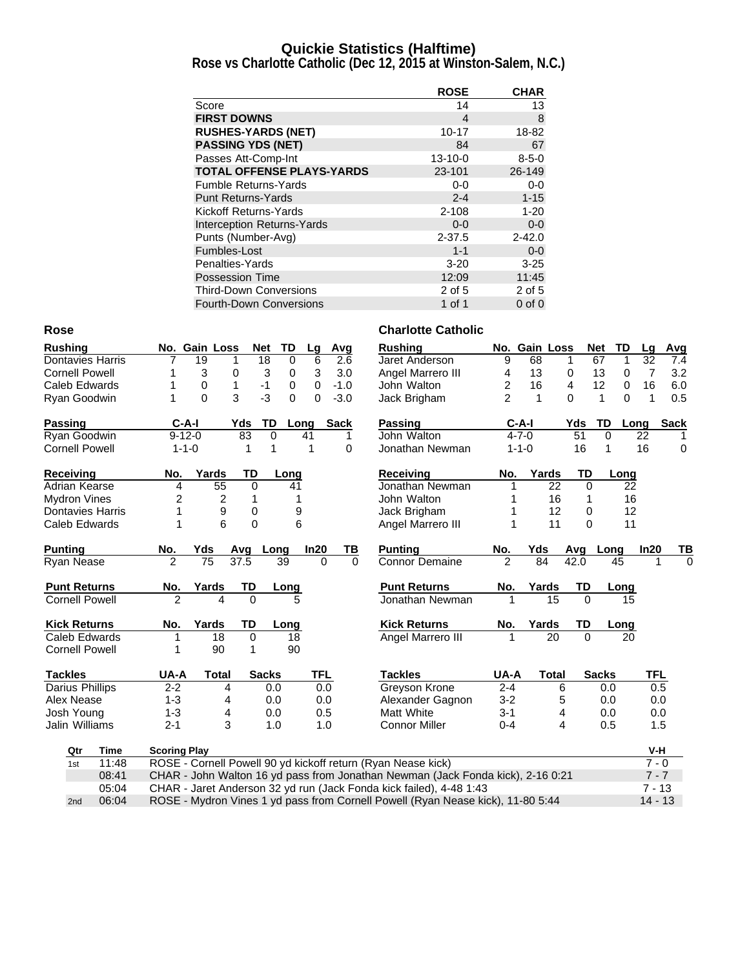#### **Quickie Statistics (Halftime)**

**Rose vs Charlotte Catholic (Dec 12, 2015 at Winston-Salem, N.C.)**

|                                   | <b>ROSE</b>   | <b>CHAR</b> |
|-----------------------------------|---------------|-------------|
| Score                             | 14            | 13          |
| <b>FIRST DOWNS</b>                | 4             | 8           |
| <b>RUSHES-YARDS (NET)</b>         | $10 - 17$     | 18-82       |
| <b>PASSING YDS (NET)</b>          | 84            | 67          |
| Passes Att-Comp-Int               | $13 - 10 - 0$ | $8 - 5 - 0$ |
| <b>TOTAL OFFENSE PLAYS-YARDS</b>  | 23-101        | 26-149      |
| <b>Fumble Returns-Yards</b>       | 0-0           | $0-0$       |
| <b>Punt Returns-Yards</b>         | $2 - 4$       | $1 - 15$    |
| Kickoff Returns-Yards             | $2 - 108$     | $1 - 20$    |
| <b>Interception Returns-Yards</b> | $0 - 0$       | $0-0$       |
| Punts (Number-Avg)                | $2 - 37.5$    | $2 - 42.0$  |
| Fumbles-Lost                      | $1 - 1$       | $0-0$       |
| Penalties-Yards                   | $3 - 20$      | $3 - 25$    |
| Possession Time                   | 12:09         | 11:45       |
| <b>Third-Down Conversions</b>     | 2 of 5        | 2 of 5      |
| <b>Fourth-Down Conversions</b>    | 1 of 1        | $0$ of $0$  |

| <b>Rushing</b>          | No. Gain Loss                                                | <b>Net</b><br>TD        | Avg<br>Lg            | <b>Rushing</b>                                                                  |                | No. Gain Loss | Net             | TD          | Lg              | Avg         |
|-------------------------|--------------------------------------------------------------|-------------------------|----------------------|---------------------------------------------------------------------------------|----------------|---------------|-----------------|-------------|-----------------|-------------|
| <b>Dontavies Harris</b> | $\overline{19}$<br>1                                         | 18<br>0                 | 6<br>2.6             | Jaret Anderson                                                                  | 9              | 68            | 67<br>1         | 1           | $\overline{32}$ | 7.4         |
| <b>Cornell Powell</b>   | 3<br>0<br>1                                                  | 3<br>0                  | 3<br>3.0             | Angel Marrero III                                                               | 4              | 13            | 13<br>0         | 0           | $\overline{7}$  | 3.2         |
| Caleb Edwards           | 0<br>1<br>1                                                  | $-1$<br>0               | 0<br>$-1.0$          | John Walton                                                                     | 2              | 16            | 4<br>12         | 0           | 16              | 6.0         |
| Ryan Goodwin            | 3<br>$\Omega$<br>1                                           | $-3$<br>$\Omega$        | $-3.0$<br>0          | Jack Brigham                                                                    | $\overline{2}$ | 1             | 0<br>1          | $\Omega$    | 1               | 0.5         |
| <b>Passing</b>          | $C-A-I$                                                      | Yds<br>TD<br>Long       | <b>Sack</b>          | <b>Passing</b>                                                                  | $C-A-I$        |               | TD<br>Yds       | Long        |                 | <b>Sack</b> |
| Ryan Goodwin            | $9 - 12 - 0$                                                 | 83<br>$\mathbf 0$<br>41 | 1                    | John Walton                                                                     | $4 - 7 - 0$    |               | $\overline{51}$ | $\mathbf 0$ | 22              |             |
| <b>Cornell Powell</b>   | $1 - 1 - 0$                                                  | 1<br>1                  | 0<br>1               | Jonathan Newman                                                                 | $1 - 1 - 0$    |               | 16              | 1           | 16              | 0           |
| <b>Receiving</b>        | Yards<br>No.                                                 | <b>TD</b><br>Long       |                      | <b>Receiving</b>                                                                | No.            | Yards         | TD              | Long        |                 |             |
| Adrian Kearse           | 4<br>55                                                      | $\Omega$<br>41          |                      | Jonathan Newman                                                                 |                | 22            | $\Omega$        | 22          |                 |             |
| <b>Mydron Vines</b>     | 2<br>2                                                       | 1<br>1                  |                      | John Walton                                                                     |                | 16            | 1               | 16          |                 |             |
| <b>Dontavies Harris</b> | 1<br>9                                                       | 0<br>9                  |                      | Jack Brigham                                                                    |                | 12            | 0               | 12          |                 |             |
| Caleb Edwards           | 6<br>1                                                       | $\mathbf 0$<br>6        |                      | Angel Marrero III                                                               | 1              | 11            | 0               | 11          |                 |             |
| <b>Punting</b>          | No.<br>Yds                                                   | Avg<br>Long             | In20<br>ΤВ           | <b>Punting</b>                                                                  | No.            | Yds           | Avg             | Long        | In20            | TВ          |
| Ryan Nease              | 75<br>$\mathfrak{p}$                                         | 37.5<br>39              | $\Omega$<br>$\Omega$ | <b>Connor Demaine</b>                                                           | $\mathfrak{p}$ | 84            | 42.0            | 45          | 1               | $\Omega$    |
| <b>Punt Returns</b>     | No.<br>Yards                                                 | TD<br><u>Long</u>       |                      | <b>Punt Returns</b>                                                             | No.            | Yards         | TD              | Long        |                 |             |
| <b>Cornell Powell</b>   | $\mathfrak{p}$<br>4                                          | $\Omega$<br>5           |                      | Jonathan Newman                                                                 | 1              | 15            | $\Omega$        | 15          |                 |             |
| <b>Kick Returns</b>     | Yards<br>No.                                                 | TD<br>Long              |                      | <b>Kick Returns</b>                                                             | No.            | Yards         | TD              | Long        |                 |             |
| Caleb Edwards           | 18                                                           | $\mathbf 0$<br>18       |                      | Angel Marrero III                                                               | 1              | 20            | $\Omega$        | 20          |                 |             |
| <b>Cornell Powell</b>   | 90                                                           | 1<br>90                 |                      |                                                                                 |                |               |                 |             |                 |             |
| <b>Tackles</b>          | UA-A<br><b>Total</b>                                         | <b>Sacks</b>            | TFL                  | <b>Tackles</b>                                                                  | UA-A           | Total         | <b>Sacks</b>    |             | <b>TFL</b>      |             |
| <b>Darius Phillips</b>  | $2 - 2$<br>4                                                 | 0.0                     | 0.0                  | <b>Greyson Krone</b>                                                            | $2 - 4$        | 6             |                 | 0.0         | 0.5             |             |
| Alex Nease              | $1 - 3$<br>4                                                 | 0.0                     | 0.0                  | Alexander Gagnon                                                                | $3 - 2$        | 5             |                 | 0.0         | 0.0             |             |
| Josh Young              | $1 - 3$<br>4                                                 | 0.0                     | 0.5                  | Matt White                                                                      | $3-1$          | 4             |                 | 0.0         | 0.0             |             |
| Jalin Williams          | 3<br>$2 - 1$                                                 | 1.0                     | 1.0                  | <b>Connor Miller</b>                                                            | $0 - 4$        | 4             |                 | 0.5         | 1.5             |             |
| <b>Time</b><br>Qtr      | <b>Scoring Play</b>                                          |                         |                      |                                                                                 |                |               |                 |             | V-H             |             |
| 11:48<br>1st            | ROSE - Cornell Powell 90 yd kickoff return (Ryan Nease kick) |                         |                      |                                                                                 |                |               |                 |             | $7 - 0$         |             |
| 08:41                   |                                                              |                         |                      | CHAR - John Walton 16 yd pass from Jonathan Newman (Jack Fonda kick), 2-16 0:21 |                |               |                 |             | $7 - 7$         |             |
| 05:04                   |                                                              |                         |                      | CHAR - Jaret Anderson 32 yd run (Jack Fonda kick failed), 4-48 1:43             |                |               |                 |             | $7 - 13$        |             |
| 06:04<br>2nd            |                                                              |                         |                      | ROSE - Mydron Vines 1 yd pass from Cornell Powell (Ryan Nease kick), 11-80 5:44 |                |               |                 |             | $14 - 13$       |             |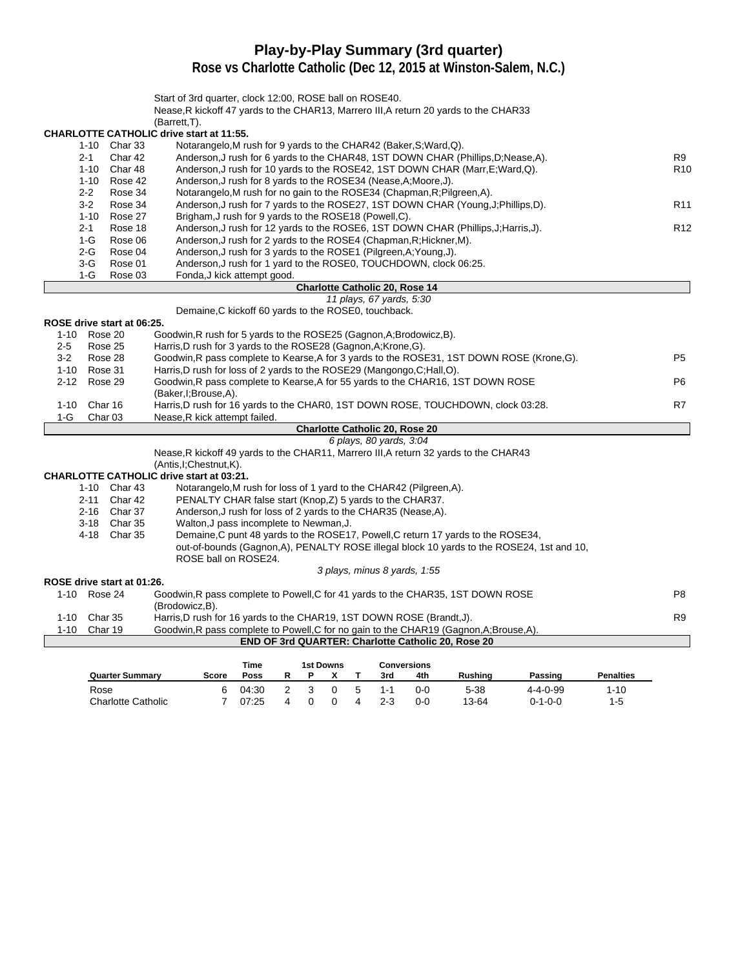# **Play-by-Play Summary (3rd quarter)**

|         |                            | Start of 3rd quarter, clock 12:00, ROSE ball on ROSE40.<br>Nease, R kickoff 47 yards to the CHAR13, Marrero III, A return 20 yards to the CHAR33 |                 |
|---------|----------------------------|--------------------------------------------------------------------------------------------------------------------------------------------------|-----------------|
|         |                            | (Barrett, T).                                                                                                                                    |                 |
|         |                            | <b>CHARLOTTE CATHOLIC drive start at 11:55.</b>                                                                                                  |                 |
|         | 1-10 Char 33               | Notarangelo, M rush for 9 yards to the CHAR42 (Baker, S; Ward, Q).                                                                               |                 |
|         | $2 - 1$<br>Char 42         | Anderson, J rush for 6 yards to the CHAR48, 1ST DOWN CHAR (Phillips, D; Nease, A).                                                               | R9              |
|         | $1 - 10$<br>Char 48        | Anderson, J rush for 10 yards to the ROSE42, 1ST DOWN CHAR (Marr, E; Ward, Q).                                                                   | R <sub>10</sub> |
|         | $1 - 10$<br>Rose 42        | Anderson, J rush for 8 yards to the ROSE34 (Nease, A; Moore, J).                                                                                 |                 |
|         | $2 - 2$<br>Rose 34         | Notarangelo, M rush for no gain to the ROSE34 (Chapman, R; Pilgreen, A).                                                                         |                 |
|         | $3-2$<br>Rose 34           | Anderson, J rush for 7 yards to the ROSE27, 1ST DOWN CHAR (Young, J; Phillips, D).                                                               | R <sub>11</sub> |
|         | $1 - 10$<br>Rose 27        | Brigham, J rush for 9 yards to the ROSE18 (Powell, C).                                                                                           |                 |
|         | $2 - 1$<br>Rose 18         | Anderson, J rush for 12 yards to the ROSE6, 1ST DOWN CHAR (Phillips, J; Harris, J).                                                              | R <sub>12</sub> |
|         | $1-G$<br>Rose 06           | Anderson, J rush for 2 yards to the ROSE4 (Chapman, R; Hickner, M).                                                                              |                 |
|         | Rose 04<br>2-G             | Anderson, J rush for 3 yards to the ROSE1 (Pilgreen, A; Young, J).                                                                               |                 |
|         | $3-G$<br>Rose 01           | Anderson, J rush for 1 yard to the ROSE0, TOUCHDOWN, clock 06:25.                                                                                |                 |
|         | $1-G$<br>Rose 03           | Fonda, J kick attempt good.                                                                                                                      |                 |
|         |                            | <b>Charlotte Catholic 20, Rose 14</b>                                                                                                            |                 |
|         |                            | 11 plays, 67 yards, 5:30                                                                                                                         |                 |
|         |                            | Demaine, C kickoff 60 yards to the ROSE0, touchback.                                                                                             |                 |
|         | ROSE drive start at 06:25. |                                                                                                                                                  |                 |
|         | 1-10 Rose 20               | Goodwin, R rush for 5 yards to the ROSE25 (Gagnon, A; Brodowicz, B).                                                                             |                 |
| $2 - 5$ | Rose 25                    | Harris, D rush for 3 yards to the ROSE28 (Gagnon, A; Krone, G).                                                                                  |                 |
| $3-2$   | Rose 28                    | Goodwin, R pass complete to Kearse, A for 3 yards to the ROSE31, 1ST DOWN ROSE (Krone, G).                                                       | P <sub>5</sub>  |
|         | 1-10 Rose 31               | Harris, D rush for loss of 2 yards to the ROSE29 (Mangongo, C; Hall, O).                                                                         |                 |
|         | 2-12 Rose 29               | Goodwin, R pass complete to Kearse, A for 55 yards to the CHAR16, 1ST DOWN ROSE<br>(Baker, I; Brouse, A).                                        | P <sub>6</sub>  |
|         | 1-10 Char 16               | Harris, D rush for 16 yards to the CHARO, 1ST DOWN ROSE, TOUCHDOWN, clock 03:28.                                                                 | R7              |
| 1-G     | Char <sub>03</sub>         | Nease, R kick attempt failed.                                                                                                                    |                 |
|         |                            | <b>Charlotte Catholic 20, Rose 20</b>                                                                                                            |                 |
|         |                            | 6 plays, 80 yards, 3:04                                                                                                                          |                 |
|         |                            | Nease, R kickoff 49 yards to the CHAR11, Marrero III, A return 32 yards to the CHAR43                                                            |                 |
|         |                            | (Antis, I; Chestnut, K).                                                                                                                         |                 |
|         |                            | <b>CHARLOTTE CATHOLIC drive start at 03:21.</b>                                                                                                  |                 |
|         | 1-10 Char 43               | Notarangelo, M rush for loss of 1 yard to the CHAR42 (Pilgreen, A).                                                                              |                 |
|         | 2-11 Char 42               | PENALTY CHAR false start (Knop, Z) 5 yards to the CHAR37.                                                                                        |                 |
|         | 2-16 Char 37               | Anderson, J rush for loss of 2 yards to the CHAR35 (Nease, A).                                                                                   |                 |
|         | 3-18 Char 35               | Walton, J pass incomplete to Newman, J.                                                                                                          |                 |
|         | 4-18 Char 35               | Demaine, C punt 48 yards to the ROSE17, Powell, C return 17 yards to the ROSE34,                                                                 |                 |
|         |                            | out-of-bounds (Gagnon, A), PENALTY ROSE illegal block 10 yards to the ROSE24, 1st and 10,                                                        |                 |
|         |                            | ROSE ball on ROSE24.                                                                                                                             |                 |
|         |                            | 3 plays, minus 8 yards, 1:55                                                                                                                     |                 |
|         | ROSE drive start at 01:26. |                                                                                                                                                  |                 |
|         | 1-10 Rose 24               | Goodwin, R pass complete to Powell, C for 41 yards to the CHAR35, 1ST DOWN ROSE                                                                  | P8              |
|         |                            | (Brodowicz.B).                                                                                                                                   |                 |
|         | 1-10 Char 35               | Harris, D rush for 16 yards to the CHAR19, 1ST DOWN ROSE (Brandt, J).                                                                            | R9              |
|         | 1-10 Char 19               | Goodwin, R pass complete to Powell, C for no gain to the CHAR19 (Gagnon, A; Brouse, A).                                                          |                 |
|         |                            | END OF 3rd QUARTER: Charlotte Catholic 20, Rose 20                                                                                               |                 |
|         |                            |                                                                                                                                                  |                 |
|         |                            | <b>Time</b><br><b>1st Downs</b><br><b>Conversions</b>                                                                                            |                 |

|                        |       | i ime |  | <b>1st Downs</b> |         | Conversions |         |                 |                  |
|------------------------|-------|-------|--|------------------|---------|-------------|---------|-----------------|------------------|
| <b>Quarter Summary</b> | Score | Poss  |  |                  | 3rd     | 4th         | Rushina | Passing         | <b>Penalties</b> |
| Rose                   |       | 04:30 |  |                  | $1 - 1$ | በ-በ         | 5-38    | 4-4-0-99        | 10-،             |
| Charlotte Catholic     |       | 07:25 |  |                  | $2 - 3$ | 0-0         | 13-64   | $0 - 1 - 0 - 0$ |                  |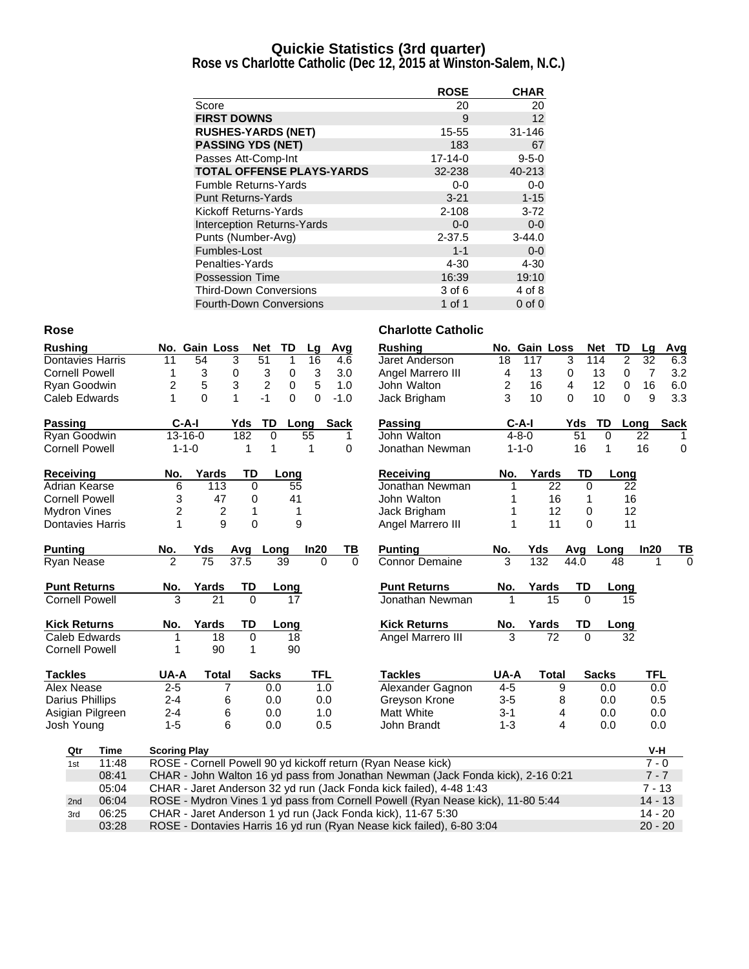#### **Quickie Statistics (3rd quarter)**

**Rose vs Charlotte Catholic (Dec 12, 2015 at Winston-Salem, N.C.)**

|                                   | <b>ROSE</b>   | <b>CHAR</b> |
|-----------------------------------|---------------|-------------|
| Score                             | 20            | 20          |
| <b>FIRST DOWNS</b>                | 9             | 12          |
| <b>RUSHES-YARDS (NET)</b>         | 15-55         | $31 - 146$  |
| <b>PASSING YDS (NET)</b>          | 183           | 67          |
| Passes Att-Comp-Int               | $17 - 14 - 0$ | $9 - 5 - 0$ |
| <b>TOTAL OFFENSE PLAYS-YARDS</b>  | 32-238        | 40-213      |
| <b>Fumble Returns-Yards</b>       | $0-0$         | $0-0$       |
| <b>Punt Returns-Yards</b>         | $3 - 21$      | $1 - 15$    |
| Kickoff Returns-Yards             | $2 - 108$     | $3 - 72$    |
| <b>Interception Returns-Yards</b> | $0 - 0$       | $0-0$       |
| Punts (Number-Avg)                | $2 - 37.5$    | $3 - 44.0$  |
| Fumbles-Lost                      | $1 - 1$       | $0-0$       |
| Penalties-Yards                   | $4 - 30$      | $4 - 30$    |
| Possession Time                   | 16:39         | 19:10       |
| <b>Third-Down Conversions</b>     | 3 of 6        | 4 of 8      |
| <b>Fourth-Down Conversions</b>    | 1 of 1        | $0$ of $0$  |

| <b>Rushing</b>          |                     | No. Gain Loss |                | <b>Net</b><br>TD    | Lg         | Avg         | <b>Rushing</b>                                                                  |             | No. Gain Loss |             | <b>TD</b><br><b>Net</b> | Lg              | Avg         |
|-------------------------|---------------------|---------------|----------------|---------------------|------------|-------------|---------------------------------------------------------------------------------|-------------|---------------|-------------|-------------------------|-----------------|-------------|
| Dontavies Harris        | 11                  | 54            | 3              | 51<br>1             | 16         | 4.6         | Jaret Anderson                                                                  | 18          | 117           | 3           | 114<br>2                | $\overline{32}$ | 6.3         |
| <b>Cornell Powell</b>   | 1                   | 3             | 0              | 3<br>0              | 3          | 3.0         | Angel Marrero III                                                               | 4           | 13            | 0           | 13<br>0                 | $\overline{7}$  | 3.2         |
| Ryan Goodwin            | 2                   | 5             | 3              | $\overline{c}$<br>0 | 5          | 1.0         | John Walton                                                                     | 2           | 16            | 4           | 12<br>0                 | 16              | 6.0         |
| Caleb Edwards           | 1                   | $\Omega$      | $\mathbf{1}$   | $-1$<br>0           | $\Omega$   | $-1.0$      | Jack Brigham                                                                    | 3           | 10            | 0           | 10<br>$\Omega$          | 9               | 3.3         |
| <b>Passing</b>          | $C-A-I$             |               | Yds            | TD                  | Long       | <b>Sack</b> | Passing                                                                         | $C-A-I$     |               | Yds         | TD                      | Long            | <b>Sack</b> |
| Ryan Goodwin            | $13 - 16 - 0$       |               | 182            | 0                   | 55         | 1           | John Walton                                                                     | $4 - 8 - 0$ |               | 51          | $\mathbf 0$             | 22              |             |
| <b>Cornell Powell</b>   | $1 - 1 - 0$         |               | 1              | $\mathbf{1}$        | 1          | $\Omega$    | Jonathan Newman                                                                 | $1 - 1 - 0$ |               | 16          | $\mathbf{1}$            | 16              | 0           |
| Receiving               | No.                 | Yards         | <b>TD</b>      | Long                |            |             | <b>Receiving</b>                                                                | No.         | Yards         | TD          | Long                    |                 |             |
| Adrian Kearse           | 6                   | 113           | 0              |                     | 55         |             | Jonathan Newman                                                                 |             | 22            | 0           | 22                      |                 |             |
| <b>Cornell Powell</b>   | 3                   | 47            | 0              |                     | 41         |             | John Walton                                                                     |             | 16            | 1           | 16                      |                 |             |
| <b>Mydron Vines</b>     | $\overline{c}$      | 2             | 1              |                     | 1          |             | Jack Brigham                                                                    |             | 12            | 0           | 12                      |                 |             |
| <b>Dontavies Harris</b> | $\mathbf{1}$        | 9             | $\mathbf 0$    |                     | 9          |             | Angel Marrero III                                                               | 1           | 11            | $\mathbf 0$ | 11                      |                 |             |
| <b>Punting</b>          | No.                 | Yds           | Avq            | Long                | In20       | ΤВ          | <b>Punting</b>                                                                  | No.         | Yds           | Avg         | Long                    | In20            | TВ          |
| Ryan Nease              | $\overline{2}$      | 75            | 37.5           | 39                  | $\Omega$   | $\mathbf 0$ | <b>Connor Demaine</b>                                                           | 3           | 132           | 44.0        | 48                      | 1               | $\mathbf 0$ |
| <b>Punt Returns</b>     | No.                 | Yards         | TD             | Long                |            |             | <b>Punt Returns</b>                                                             | No.         | Yards         | TD          | Long                    |                 |             |
| <b>Cornell Powell</b>   | 3                   | 21            | $\Omega$       |                     | 17         |             | Jonathan Newman                                                                 |             | 15            | $\Omega$    | 15                      |                 |             |
| <b>Kick Returns</b>     | No.                 | Yards         | TD             | Long                |            |             | <b>Kick Returns</b>                                                             | No.         | Yards         | TD          | Long                    |                 |             |
| Caleb Edwards           | 1                   | 18            | $\mathbf 0$    |                     | 18         |             | Angel Marrero III                                                               | 3           | 72            | $\Omega$    | 32                      |                 |             |
| <b>Cornell Powell</b>   | 1                   | 90            | 1              |                     | 90         |             |                                                                                 |             |               |             |                         |                 |             |
| <b>Tackles</b>          | UA-A                | <b>Total</b>  |                | <b>Sacks</b>        | <b>TFL</b> |             | <b>Tackles</b>                                                                  | UA-A        | <b>Total</b>  |             | <b>Sacks</b>            | <b>TFL</b>      |             |
| Alex Nease              | $2 - 5$             |               | $\overline{7}$ | 0.0                 | 1.0        |             | Alexander Gagnon                                                                | $4 - 5$     | 9             |             | 0.0                     | 0.0             |             |
| <b>Darius Phillips</b>  | $2 - 4$             |               | 6              | 0.0                 | 0.0        |             | Greyson Krone                                                                   | $3-5$       | 8             |             | 0.0                     | 0.5             |             |
| Asigian Pilgreen        | $2 - 4$             |               | 6              | 0.0                 | 1.0        |             | Matt White                                                                      | $3 - 1$     |               | 4           | 0.0                     | 0.0             |             |
| Josh Young              | $1 - 5$             |               | 6              | 0.0                 | 0.5        |             | John Brandt                                                                     | $1 - 3$     | 4             |             | 0.0                     | 0.0             |             |
| Qtr<br><b>Time</b>      | <b>Scoring Play</b> |               |                |                     |            |             |                                                                                 |             |               |             |                         | V-H             |             |
| 11:48<br>1st            |                     |               |                |                     |            |             | ROSE - Cornell Powell 90 yd kickoff return (Ryan Nease kick)                    |             |               |             |                         | $7 - 0$         |             |
| 08:41                   |                     |               |                |                     |            |             | CHAR - John Walton 16 yd pass from Jonathan Newman (Jack Fonda kick), 2-16 0:21 |             |               |             |                         | $7 - 7$         |             |
| 05:04                   |                     |               |                |                     |            |             | CHAR - Jaret Anderson 32 yd run (Jack Fonda kick failed), 4-48 1:43             |             |               |             |                         | $7 - 13$        |             |
| 06:04<br>2nd            |                     |               |                |                     |            |             | ROSE - Mydron Vines 1 yd pass from Cornell Powell (Ryan Nease kick), 11-80 5:44 |             |               |             |                         | $14 - 13$       |             |
| 06:25<br>3rd            |                     |               |                |                     |            |             | CHAR - Jaret Anderson 1 yd run (Jack Fonda kick), 11-67 5:30                    |             |               |             |                         | $14 - 20$       |             |
| 03:28                   |                     |               |                |                     |            |             | ROSE - Dontavies Harris 16 yd run (Ryan Nease kick failed), 6-80 3:04           |             |               |             |                         | $20 - 20$       |             |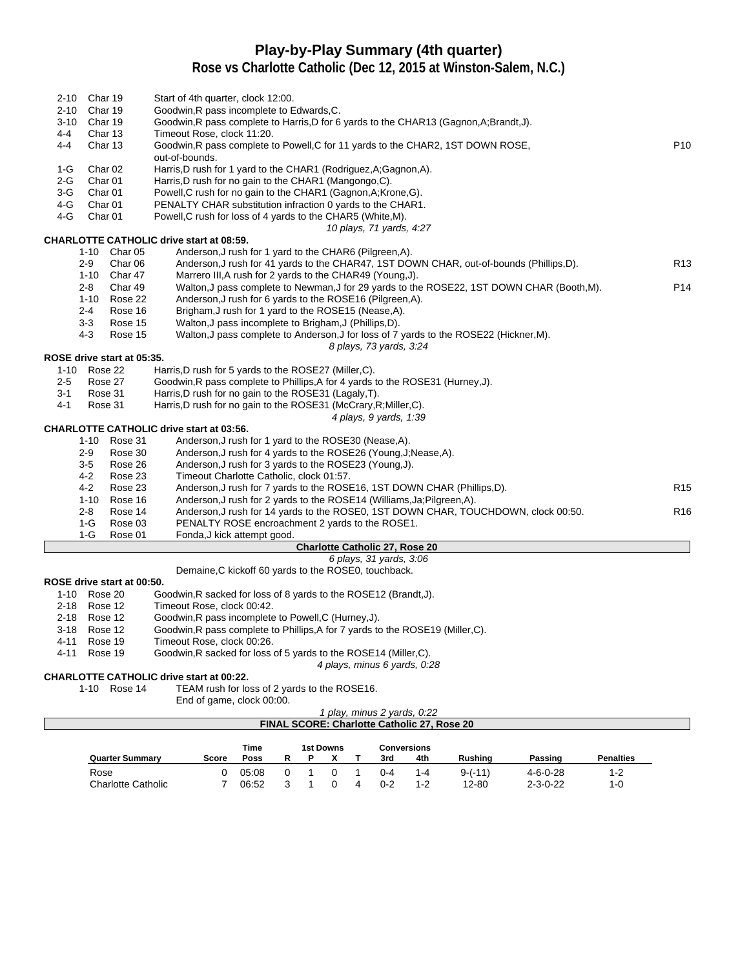# **Play-by-Play Summary (4th quarter)**

**Rose vs Charlotte Catholic (Dec 12, 2015 at Winston-Salem, N.C.)**

| $2 - 10$ |              | Char 19                    | Start of 4th quarter, clock 12:00.                                                                |                 |
|----------|--------------|----------------------------|---------------------------------------------------------------------------------------------------|-----------------|
| $2 - 10$ |              | Char 19                    | Goodwin, R pass incomplete to Edwards, C.                                                         |                 |
| $3 - 10$ |              | Char 19                    | Goodwin, R pass complete to Harris, D for 6 yards to the CHAR13 (Gagnon, A; Brandt, J).           |                 |
| 4-4      |              | Char 13                    | Timeout Rose, clock 11:20.                                                                        |                 |
| $4 - 4$  |              | Char 13                    | Goodwin, R pass complete to Powell, C for 11 yards to the CHAR2, 1ST DOWN ROSE,<br>out-of-bounds. | P <sub>10</sub> |
| 1-G      |              | Char <sub>02</sub>         | Harris, D rush for 1 yard to the CHAR1 (Rodriguez, A; Gagnon, A).                                 |                 |
| $2-G$    |              | Char <sub>01</sub>         | Harris, D rush for no gain to the CHAR1 (Mangongo, C).                                            |                 |
| $3-G$    |              | Char <sub>01</sub>         | Powell, C rush for no gain to the CHAR1 (Gagnon, A; Krone, G).                                    |                 |
| 4-G      |              | Char <sub>01</sub>         | PENALTY CHAR substitution infraction 0 yards to the CHAR1.                                        |                 |
| 4-G      |              | Char <sub>01</sub>         | Powell, C rush for loss of 4 yards to the CHAR5 (White, M).                                       |                 |
|          |              |                            | 10 plays, 71 yards, 4:27                                                                          |                 |
|          |              |                            | <b>CHARLOTTE CATHOLIC drive start at 08:59.</b>                                                   |                 |
|          |              | 1-10 Char 05               | Anderson, J rush for 1 yard to the CHAR6 (Pilgreen, A).                                           |                 |
|          | $2-9$        | Char 06                    | Anderson, J rush for 41 yards to the CHAR47, 1ST DOWN CHAR, out-of-bounds (Phillips,D).           | R <sub>13</sub> |
|          |              | 1-10 Char 47               | Marrero III, A rush for 2 yards to the CHAR49 (Young, J).                                         |                 |
|          | 2-8          | Char 49                    | Walton, J pass complete to Newman, J for 29 yards to the ROSE22, 1ST DOWN CHAR (Booth, M).        | P14             |
|          | $1 - 10$     | Rose 22                    | Anderson, J rush for 6 yards to the ROSE16 (Pilgreen, A).                                         |                 |
|          | $2 - 4$      | Rose 16                    | Brigham, J rush for 1 yard to the ROSE15 (Nease, A).                                              |                 |
|          | $3-3$        | Rose 15                    | Walton, J pass incomplete to Brigham, J (Phillips, D).                                            |                 |
|          | $4-3$        | Rose 15                    | Walton, J pass complete to Anderson, J for loss of 7 yards to the ROSE22 (Hickner, M).            |                 |
|          |              |                            | 8 plays, 73 yards, 3:24                                                                           |                 |
|          |              | ROSE drive start at 05:35. |                                                                                                   |                 |
|          | 1-10 Rose 22 |                            | Harris, D rush for 5 yards to the ROSE27 (Miller, C).                                             |                 |
| $2-5$    |              | Rose 27                    | Goodwin, R pass complete to Phillips, A for 4 yards to the ROSE31 (Hurney, J).                    |                 |
| $3-1$    |              | Rose 31                    | Harris, D rush for no gain to the ROSE31 (Lagaly, T).                                             |                 |
| 4-1      |              | Rose 31                    | Harris, D rush for no gain to the ROSE31 (McCrary, R; Miller, C).                                 |                 |
|          |              |                            | 4 plays, 9 yards, 1:39                                                                            |                 |
|          |              |                            | <b>CHARLOTTE CATHOLIC drive start at 03:56.</b>                                                   |                 |
|          |              | 1-10 Rose 31               | Anderson, J rush for 1 yard to the ROSE30 (Nease, A).                                             |                 |
|          | $2-9$        | Rose 30                    | Anderson, J rush for 4 yards to the ROSE26 (Young, J; Nease, A).                                  |                 |
|          | $3-5$        | Rose 26                    | Anderson, J rush for 3 yards to the ROSE23 (Young, J).                                            |                 |
|          | 4-2          | Rose 23                    | Timeout Charlotte Catholic, clock 01:57.                                                          |                 |
|          | $4 - 2$      | Rose 23                    | Anderson, J rush for 7 yards to the ROSE16, 1ST DOWN CHAR (Phillips, D).                          | R <sub>15</sub> |
|          | $1 - 10$     | Rose 16                    | Anderson, J rush for 2 yards to the ROSE14 (Williams, Ja; Pilgreen, A).                           |                 |
|          | $2 - 8$      | Rose 14                    | Anderson, J rush for 14 yards to the ROSE0, 1ST DOWN CHAR, TOUCHDOWN, clock 00:50.                | R <sub>16</sub> |
|          | 1-G          | Rose 03                    | PENALTY ROSE encroachment 2 yards to the ROSE1.                                                   |                 |
|          | 1-G          | Rose 01                    | Fonda, J kick attempt good.                                                                       |                 |
|          |              |                            | <b>Charlotte Catholic 27, Rose 20</b>                                                             |                 |
|          |              |                            | 6 plays, 31 yards, 3:06                                                                           |                 |
|          |              |                            | Demaine, C kickoff 60 yards to the ROSE0, touchback.                                              |                 |
|          |              | ROSE drive start at 00:50. |                                                                                                   |                 |
|          | 1-10 Rose 20 |                            | Goodwin, R sacked for loss of 8 yards to the ROSE12 (Brandt, J).                                  |                 |
| 2-18     |              | Rose 12                    | Timeout Rose, clock 00:42.                                                                        |                 |
|          | 2-18 Rose 12 |                            | Goodwin, R pass incomplete to Powell, C (Hurney, J).                                              |                 |
| 3-18     |              | Rose 12                    | Goodwin, R pass complete to Phillips, A for 7 yards to the ROSE19 (Miller, C).                    |                 |

- 
- 4-11 Rose 19 Timeout Rose, clock 00:26.<br>4-11 Rose 19 Goodwin, R sacked for loss o

Goodwin,R sacked for loss of 5 yards to the ROSE14 (Miller,C). 4 plays, minus 6 yards, 0:28

# **CHARLOTTE CATHOLIC drive start at 00:22.**<br>1-10 Rose 14 TEAM rush for lose

TEAM rush for loss of 2 yards to the ROSE16.

End of game, clock 00:00.

```
1 play, minus 2 yards, 0:22
FINAL SCORE: Charlotte Catholic 27, Rose 20
```

|                           |       | Time  |   | <b>1st Downs</b> |  |  |         | <b>Conversions</b> |                |                  |                  |  |
|---------------------------|-------|-------|---|------------------|--|--|---------|--------------------|----------------|------------------|------------------|--|
| <b>Quarter Summary</b>    | Score | Poss  | R |                  |  |  | 3rd     | 4th                | <b>Rushing</b> | Passing          | <b>Penalties</b> |  |
| Rose                      |       | 05:08 |   |                  |  |  | 0-4     | 1-4                | $9-(-11)$      | $4 - 6 - 0 - 28$ | 1-2              |  |
| <b>Charlotte Catholic</b> |       | 06:52 |   |                  |  |  | $0 - 2$ | 1-2                | 12-80          | $2 - 3 - 0 - 22$ | $1 - 0$          |  |